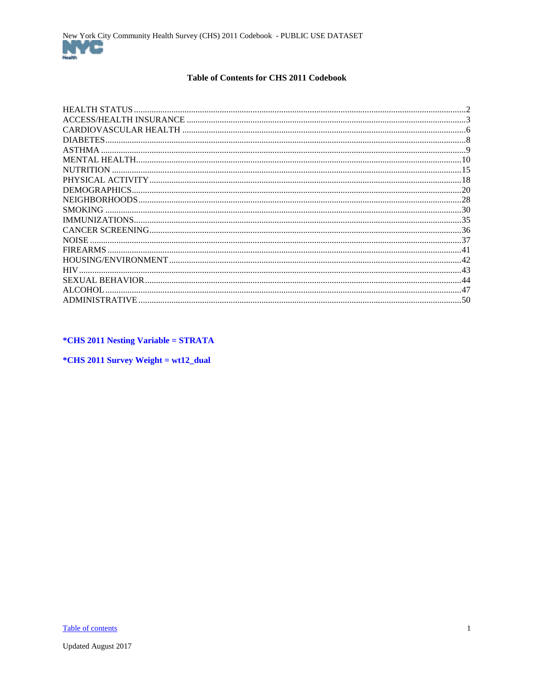#### Table of Contents for CHS 2011 Codebook

<span id="page-0-1"></span><span id="page-0-0"></span>

| HEALTH STATUS    |    |
|------------------|----|
|                  |    |
|                  |    |
| DIABETES.        |    |
| ASTHMA.          |    |
|                  |    |
| <b>NUTRITION</b> |    |
|                  |    |
|                  |    |
|                  |    |
| <b>SMOKING</b>   |    |
|                  |    |
|                  |    |
| NOISE.           |    |
| <b>FIREARMS</b>  |    |
|                  |    |
| <b>HIV</b>       |    |
|                  | 44 |
| <b>ALCOHOL</b>   | 47 |
|                  |    |
|                  |    |

*\*CHS 2011 Nesting Variable = STRATA* 

\*CHS 2011 Survey Weight = wt12\_dual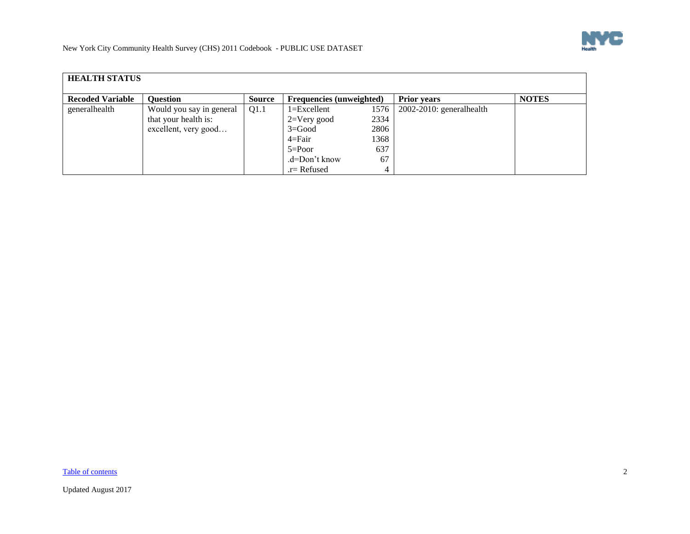

<span id="page-1-0"></span>

| <b>HEALTH STATUS</b>    |                          |        |                                 |      |                             |              |  |  |
|-------------------------|--------------------------|--------|---------------------------------|------|-----------------------------|--------------|--|--|
| <b>Recoded Variable</b> | <b>Ouestion</b>          | Source | <b>Frequencies (unweighted)</b> |      | <b>Prior years</b>          | <b>NOTES</b> |  |  |
| generalhealth           | Would you say in general | Q1.1   | $1 = Excellent$                 | 1576 | $2002-2010$ : generalhealth |              |  |  |
|                         | that your health is:     |        | $2=V$ ery good                  | 2334 |                             |              |  |  |
|                         | excellent, very good     |        | $3 = Good$                      | 2806 |                             |              |  |  |
|                         |                          |        | $4 = Fair$                      | 1368 |                             |              |  |  |
|                         |                          |        | $5 = Poor$                      | 637  |                             |              |  |  |
|                         |                          |        | .d=Don't know                   | 67   |                             |              |  |  |
|                         |                          |        | $r =$ Refused                   | 4    |                             |              |  |  |

[Table of contents](#page-0-1) 2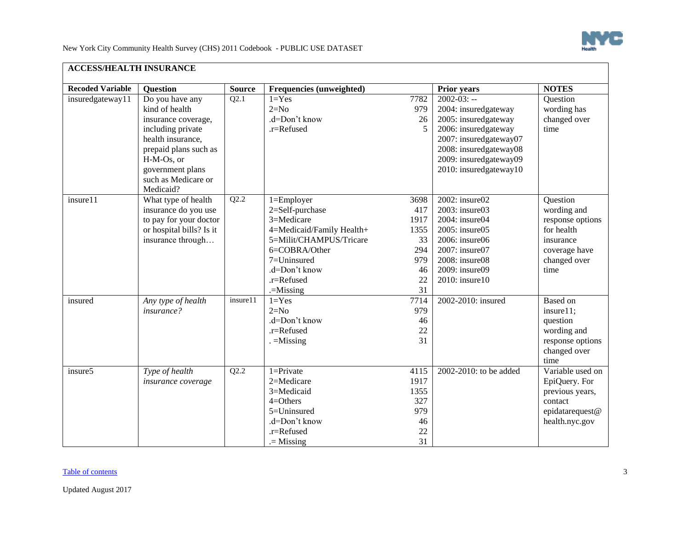

<span id="page-2-0"></span>

| <b>ACCESS/HEALTH INSURANCE</b> |                                                                                                                                                                                                   |               |                                                                                                                                                                                     |                                                                   |                                                                                                                                                                                                |                                                                                                                 |
|--------------------------------|---------------------------------------------------------------------------------------------------------------------------------------------------------------------------------------------------|---------------|-------------------------------------------------------------------------------------------------------------------------------------------------------------------------------------|-------------------------------------------------------------------|------------------------------------------------------------------------------------------------------------------------------------------------------------------------------------------------|-----------------------------------------------------------------------------------------------------------------|
| <b>Recoded Variable</b>        | <b>Question</b>                                                                                                                                                                                   | <b>Source</b> | Frequencies (unweighted)                                                                                                                                                            |                                                                   | <b>Prior years</b>                                                                                                                                                                             | <b>NOTES</b>                                                                                                    |
| insuredgateway11               | Do you have any<br>kind of health<br>insurance coverage,<br>including private<br>health insurance,<br>prepaid plans such as<br>H-M-Os, or<br>government plans<br>such as Medicare or<br>Medicaid? | Q2.1          | $1 = Yes$<br>$2=N0$<br>.d=Don't know<br>.r=Refused                                                                                                                                  | 7782<br>979<br>26<br>5                                            | $2002 - 03: -$<br>2004: insuredgateway<br>2005: insuredgateway<br>2006: insuredgateway<br>2007: insuredgateway07<br>2008: insuredgateway08<br>2009: insuredgateway09<br>2010: insuredgateway10 | Question<br>wording has<br>changed over<br>time                                                                 |
| insure11                       | What type of health<br>insurance do you use<br>to pay for your doctor<br>or hospital bills? Is it<br>insurance through                                                                            | Q2.2          | $1 =$ Employer<br>2=Self-purchase<br>3=Medicare<br>4=Medicaid/Family Health+<br>5=Milit/CHAMPUS/Tricare<br>6=COBRA/Other<br>7=Uninsured<br>.d=Don't know<br>.r=Refused<br>.=Missing | 3698<br>417<br>1917<br>1355<br>33<br>294<br>979<br>46<br>22<br>31 | $2002$ : insure $02$<br>2003: insure03<br>2004: insure04<br>2005: insure05<br>2006: insure06<br>2007: insure07<br>2008: insure08<br>2009: insure09<br>2010: insure10                           | Question<br>wording and<br>response options<br>for health<br>insurance<br>coverage have<br>changed over<br>time |
| insured                        | Any type of health<br><i>insurance?</i>                                                                                                                                                           | insure11      | $1 = Yes$<br>$2=N0$<br>.d=Don't know<br>.r=Refused<br>$=$ Missing                                                                                                                   | 7714<br>979<br>46<br>$22\,$<br>31                                 | 2002-2010: insured                                                                                                                                                                             | <b>Based</b> on<br>insure11;<br>question<br>wording and<br>response options<br>changed over<br>time             |
| insure5                        | Type of health<br>insurance coverage                                                                                                                                                              | Q2.2          | $1 =$ Private<br>2=Medicare<br>3=Medicaid<br>$4 =$ Others<br>5=Uninsured<br>.d=Don't know<br>.r=Refused<br>$=$ Missing                                                              | 4115<br>1917<br>1355<br>327<br>979<br>46<br>22<br>31              | 2002-2010: to be added                                                                                                                                                                         | Variable used on<br>EpiQuery. For<br>previous years,<br>contact<br>epidatarequest@<br>health.nyc.gov            |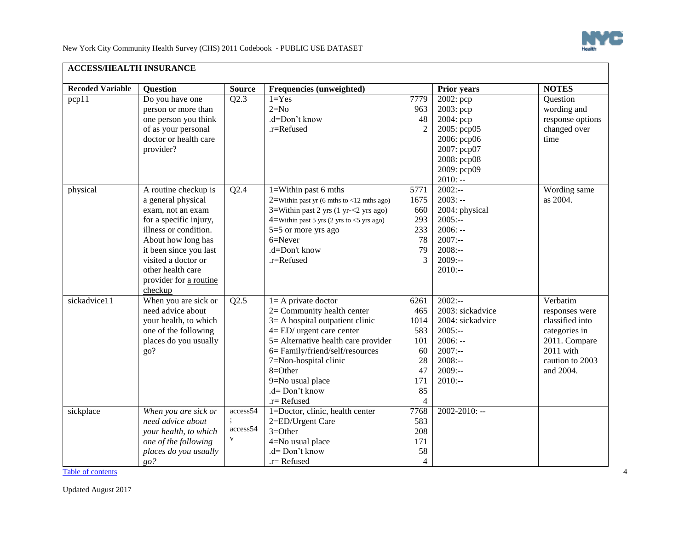

| <b>Recoded Variable</b> | <b>Question</b>        | <b>Source</b> | Frequencies (unweighted)                                     |                | <b>Prior years</b> | <b>NOTES</b>     |  |
|-------------------------|------------------------|---------------|--------------------------------------------------------------|----------------|--------------------|------------------|--|
| pcp11                   | Do you have one        | Q2.3          | $1 = Yes$                                                    | 7779           | $2002$ : pcp       | Question         |  |
|                         | person or more than    |               | $2=N0$                                                       | 963            | $2003$ : pcp       | wording and      |  |
|                         | one person you think   |               | .d=Don't know                                                | 48             | 2004: pcp          | response options |  |
|                         | of as your personal    |               | .r=Refused                                                   | $\overline{2}$ | 2005: pcp05        | changed over     |  |
|                         | doctor or health care  |               |                                                              |                | 2006: рер06        | time             |  |
|                         | provider?              |               |                                                              |                | 2007: pcp07        |                  |  |
|                         |                        |               |                                                              |                | 2008: pcp08        |                  |  |
|                         |                        |               |                                                              |                | 2009: pcp09        |                  |  |
|                         |                        |               |                                                              |                | $2010: -$          |                  |  |
| physical                | A routine checkup is   | Q2.4          | 1=Within past 6 mths                                         | 5771           | $2002: -$          | Wording same     |  |
|                         | a general physical     |               | 2=Within past yr $(6 \text{ mths to} < 12 \text{ mths ago})$ | 1675           | $2003: -$          | as 2004.         |  |
|                         | exam, not an exam      |               | $3=$ Within past 2 yrs (1 yr- $<$ 2 yrs ago)                 | 660            | 2004: physical     |                  |  |
|                         | for a specific injury, |               | $4=$ Within past 5 yrs (2 yrs to <5 yrs ago)                 | 293            | $2005:-$           |                  |  |
|                         | illness or condition.  |               | 5=5 or more yrs ago                                          | 233            | $2006: -$          |                  |  |
|                         | About how long has     |               | $6 =$ Never                                                  | 78             | $2007: -$          |                  |  |
|                         | it been since you last |               | .d=Don't know                                                | 79             | $2008:-$           |                  |  |
|                         | visited a doctor or    |               | .r=Refused                                                   | 3              | $2009: -$          |                  |  |
|                         | other health care      |               |                                                              |                | $2010:-$           |                  |  |
|                         | provider for a routine |               |                                                              |                |                    |                  |  |
|                         | checkup                |               |                                                              |                |                    |                  |  |
| sickadvice11            | When you are sick or   | Q2.5          | $l = A$ private doctor                                       | 6261           | $2002: -$          | Verbatim         |  |
|                         | need advice about      |               | 2= Community health center                                   | 465            | 2003: sickadvice   | responses were   |  |
|                         | your health, to which  |               | $3=$ A hospital outpatient clinic                            | 1014           | 2004: sickadvice   | classified into  |  |
|                         | one of the following   |               | $4 = ED/$ urgent care center                                 | 583            | $2005:-$           | categories in    |  |
|                         | places do you usually  |               | 5= Alternative health care provider                          | 101            | $2006: -$          | 2011. Compare    |  |
|                         | go?                    |               | 6= Family/friend/self/resources                              | 60             | $2007: -$          | $2011$ with      |  |
|                         |                        |               | 7=Non-hospital clinic                                        | 28             | $2008:-$           | caution to 2003  |  |
|                         |                        |               | 8=Other                                                      | 47             | $2009: -$          | and 2004.        |  |
|                         |                        |               | 9=No usual place                                             | 171            | $2010:-$           |                  |  |
|                         |                        |               | .d= Don't know                                               | 85             |                    |                  |  |
|                         |                        |               | $.r =$ Refused                                               | $\overline{4}$ |                    |                  |  |
| sickplace               | When you are sick or   | access54      | 1=Doctor, clinic, health center                              | 7768           | $2002 - 2010$ : -- |                  |  |
|                         | need advice about      |               | 2=ED/Urgent Care                                             | 583            |                    |                  |  |
|                         | your health, to which  | access54      | $3 = Other$                                                  | 208            |                    |                  |  |
|                         | one of the following   | $\mathbf{V}$  | 4=No usual place                                             | 171            |                    |                  |  |
|                         | places do you usually  |               | .d= Don't know                                               | 58             |                    |                  |  |
|                         | go?                    |               | $.r =$ Refused                                               | $\overline{4}$ |                    |                  |  |

[Table of contents](#page-0-1) **4**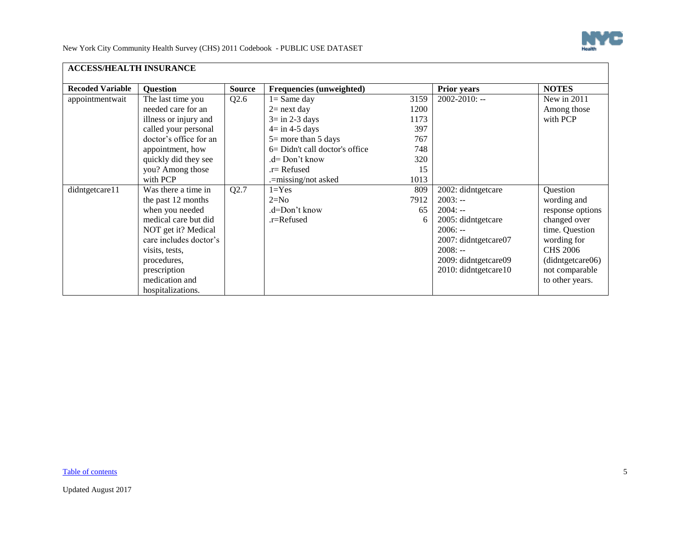

| <b>ACCESS/HEALTH INSURANCE</b> |                        |               |                                   |      |                      |                  |
|--------------------------------|------------------------|---------------|-----------------------------------|------|----------------------|------------------|
| <b>Recoded Variable</b>        | <b>Question</b>        | <b>Source</b> | Frequencies (unweighted)          |      | <b>Prior years</b>   | <b>NOTES</b>     |
| appointmentwait                | The last time you      | Q2.6          | $l =$ Same day                    | 3159 | 2002-2010: --        | New in 2011      |
|                                | needed care for an     |               | $2$ = next day                    | 1200 |                      | Among those      |
|                                | illness or injury and  |               | $3 = in 2-3 days$                 | 1173 |                      | with PCP         |
|                                | called your personal   |               | $4 = \text{in } 4-5 \text{ days}$ | 397  |                      |                  |
|                                | doctor's office for an |               | $5 =$ more than 5 days            | 767  |                      |                  |
|                                | appointment, how       |               | 6= Didn't call doctor's office    | 748  |                      |                  |
|                                | quickly did they see   |               | .d= Don't know                    | 320  |                      |                  |
|                                | you? Among those       |               | .r= Refused                       | 15   |                      |                  |
|                                | with PCP               |               | .=missing/not asked               | 1013 |                      |                  |
| didntgetcare11                 | Was there a time in    | Q2.7          | $1 = Yes$                         | 809  | 2002: didntgetcare   | Question         |
|                                | the past 12 months     |               | $2=N0$                            | 7912 | $2003: -$            | wording and      |
|                                | when you needed        |               | .d=Don't know                     | 65   | $2004: -$            | response options |
|                                | medical care but did   |               | .r=Refused                        | 6    | 2005: didntgetcare   | changed over     |
|                                | NOT get it? Medical    |               |                                   |      | $2006: -$            | time. Question   |
|                                | care includes doctor's |               |                                   |      | 2007: didntgetcare07 | wording for      |
|                                | visits, tests,         |               |                                   |      | $2008: -$            | <b>CHS 2006</b>  |
|                                | procedures,            |               |                                   |      | 2009: didntgetcare09 | (didntgetcare06) |
|                                | prescription           |               |                                   |      | 2010: didntgetcare10 | not comparable   |
|                                | medication and         |               |                                   |      |                      | to other years.  |
|                                | hospitalizations.      |               |                                   |      |                      |                  |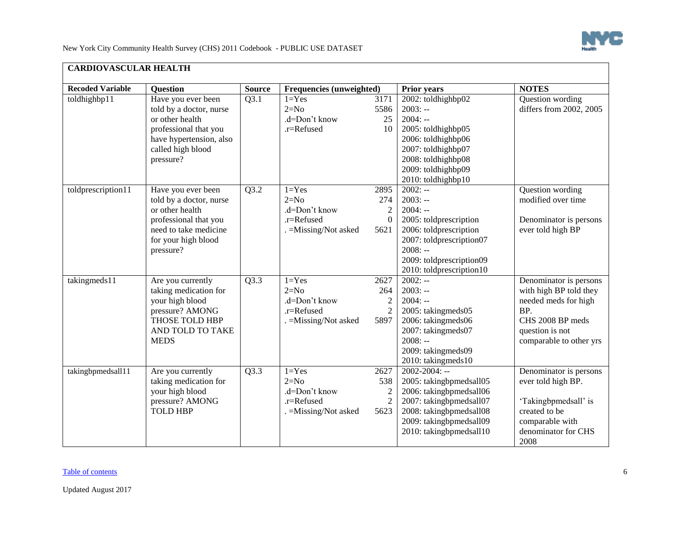

<span id="page-5-0"></span>

| <b>CARDIOVASCULAR HEALTH</b> |                                                                                                                                                        |               |                                                                                 |                                                   |                                                                                                                                                                                          |                                                                                                                                                   |
|------------------------------|--------------------------------------------------------------------------------------------------------------------------------------------------------|---------------|---------------------------------------------------------------------------------|---------------------------------------------------|------------------------------------------------------------------------------------------------------------------------------------------------------------------------------------------|---------------------------------------------------------------------------------------------------------------------------------------------------|
| <b>Recoded Variable</b>      | Question                                                                                                                                               | <b>Source</b> | Frequencies (unweighted)                                                        |                                                   | <b>Prior years</b>                                                                                                                                                                       | <b>NOTES</b>                                                                                                                                      |
| toldhighbp11                 | Have you ever been<br>told by a doctor, nurse<br>or other health<br>professional that you<br>have hypertension, also<br>called high blood<br>pressure? | Q3.1          | $1 = Yes$<br>$2=N0$<br>.d=Don't know<br>.r=Refused                              | 3171<br>5586<br>25<br>10                          | 2002: toldhighbp02<br>$2003: -$<br>$2004: -$<br>2005: toldhighbp05<br>2006: toldhighbp06<br>2007: toldhighbp07<br>2008: toldhighbp08<br>2009: toldhighbp09<br>2010: toldhighbp10         | Question wording<br>differs from 2002, 2005                                                                                                       |
| toldprescription11           | Have you ever been<br>told by a doctor, nurse<br>or other health<br>professional that you<br>need to take medicine<br>for your high blood<br>pressure? | Q3.2          | $1 = Yes$<br>$2=N0$<br>.d=Don't know<br>$.r =$ Refused<br>. = Missing/Not asked | 2895<br>274<br>$\overline{2}$<br>$\Omega$<br>5621 | $2002: -$<br>$2003: -$<br>$2004: -$<br>2005: toldprescription<br>2006: toldprescription<br>2007: toldprescription07<br>$2008: -$<br>2009: toldprescription09<br>2010: toldprescription10 | Question wording<br>modified over time<br>Denominator is persons<br>ever told high BP                                                             |
| takingmeds11                 | Are you currently<br>taking medication for<br>your high blood<br>pressure? AMONG<br>THOSE TOLD HBP<br>AND TOLD TO TAKE<br><b>MEDS</b>                  | Q3.3          | $1 = Yes$<br>$2=N0$<br>.d=Don't know<br>.r=Refused<br>. = Missing/Not asked     | 2627<br>264<br>$\overline{c}$<br>2<br>5897        | $2002: -$<br>$2003: -$<br>$2004: -$<br>2005: takingmeds05<br>2006: takingmeds06<br>2007: takingmeds07<br>$2008: -$<br>2009: takingmeds09<br>2010: takingmeds10                           | Denominator is persons<br>with high BP told they<br>needed meds for high<br>BP.<br>CHS 2008 BP meds<br>question is not<br>comparable to other yrs |
| takingbpmedsall11            | Are you currently<br>taking medication for<br>your high blood<br>pressure? AMONG<br><b>TOLD HBP</b>                                                    | Q3.3          | $1 = Yes$<br>$2=N0$<br>.d=Don't know<br>.r=Refused<br>. = Missing/Not asked     | 2627<br>538<br>2<br>$\overline{2}$<br>5623        | $2002 - 2004$ : --<br>2005: takingbpmedsall05<br>2006: takingbpmedsall06<br>2007: takingbpmedsall07<br>2008: takingbpmedsall08<br>2009: takingbpmedsall09<br>2010: takingbpmedsall10     | Denominator is persons<br>ever told high BP.<br>'Takingbpmedsall' is<br>created to be<br>comparable with<br>denominator for CHS<br>2008           |

## [Table of contents](#page-0-1) 6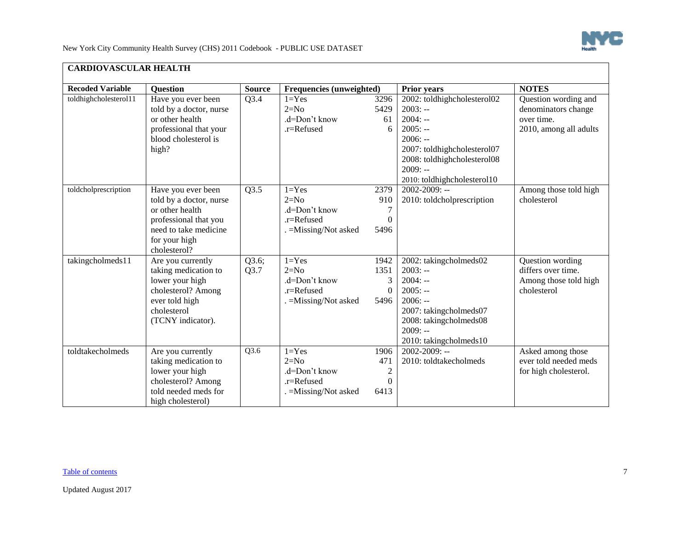

| <b>Recoded Variable</b> | <b>Question</b>         | <b>Source</b> | <b>Frequencies (unweighted)</b> |                | Prior years                 | <b>NOTES</b>           |
|-------------------------|-------------------------|---------------|---------------------------------|----------------|-----------------------------|------------------------|
| toldhighcholesterol11   | Have you ever been      | Q3.4          | $1 = Yes$                       | 3296           | 2002: toldhighcholesterol02 | Question wording and   |
|                         | told by a doctor, nurse |               | $2=N0$                          | 5429           | $2003: -$                   | denominators change    |
|                         | or other health         |               | .d=Don't know                   | 61             | $2004: -$                   | over time.             |
|                         | professional that your  |               | .r=Refused                      | 6              | $2005: -$                   | 2010, among all adults |
|                         | blood cholesterol is    |               |                                 |                | $2006: -$                   |                        |
|                         | high?                   |               |                                 |                | 2007: toldhighcholesterol07 |                        |
|                         |                         |               |                                 |                | 2008: toldhighcholesterol08 |                        |
|                         |                         |               |                                 |                | $2009: -$                   |                        |
|                         |                         |               |                                 |                | 2010: toldhighcholesterol10 |                        |
| toldcholprescription    | Have you ever been      | Q3.5          | $1 = Yes$                       | 2379           | $2002 - 2009$ : --          | Among those told high  |
|                         | told by a doctor, nurse |               | $2=N0$                          | 910            | 2010: toldcholprescription  | cholesterol            |
|                         | or other health         |               | .d=Don't know                   | 7              |                             |                        |
|                         | professional that you   |               | .r=Refused                      | $\theta$       |                             |                        |
|                         | need to take medicine   |               | . = Missing/Not asked           | 5496           |                             |                        |
|                         | for your high           |               |                                 |                |                             |                        |
|                         | cholesterol?            |               |                                 |                |                             |                        |
| takingcholmeds11        | Are you currently       | Q3.6;         | $1 = Yes$                       | 1942           | 2002: takingcholmeds02      | Question wording       |
|                         | taking medication to    | Q3.7          | $2=N0$                          | 1351           | $2003: -$                   | differs over time.     |
|                         | lower your high         |               | .d=Don't know                   |                | $2004: -$                   | Among those told high  |
|                         | cholesterol? Among      |               | .r=Refused                      | $\Omega$       | $2005: -$                   | cholesterol            |
|                         | ever told high          |               | =Missing/Not asked              | 5496           | $2006: -$                   |                        |
|                         | cholesterol             |               |                                 |                | 2007: takingcholmeds07      |                        |
|                         | (TCNY indicator).       |               |                                 |                | 2008: takingcholmeds08      |                        |
|                         |                         |               |                                 |                | $2009: -$                   |                        |
|                         |                         |               |                                 |                | 2010: takingcholmeds10      |                        |
| toldtakecholmeds        | Are you currently       | Q3.6          | $1 = Yes$                       | 1906           | $2002 - 2009$ : --          | Asked among those      |
|                         | taking medication to    |               | $2=N0$                          | 471            | 2010: toldtakecholmeds      | ever told needed meds  |
|                         | lower your high         |               | .d=Don't know                   | $\overline{c}$ |                             | for high cholesterol.  |
|                         | cholesterol? Among      |               | .r=Refused                      | $\theta$       |                             |                        |
|                         | told needed meds for    |               | . = Missing/Not asked           | 6413           |                             |                        |
|                         | high cholesterol)       |               |                                 |                |                             |                        |

## [Table of contents](#page-0-1) Table of contents of  $\overline{7}$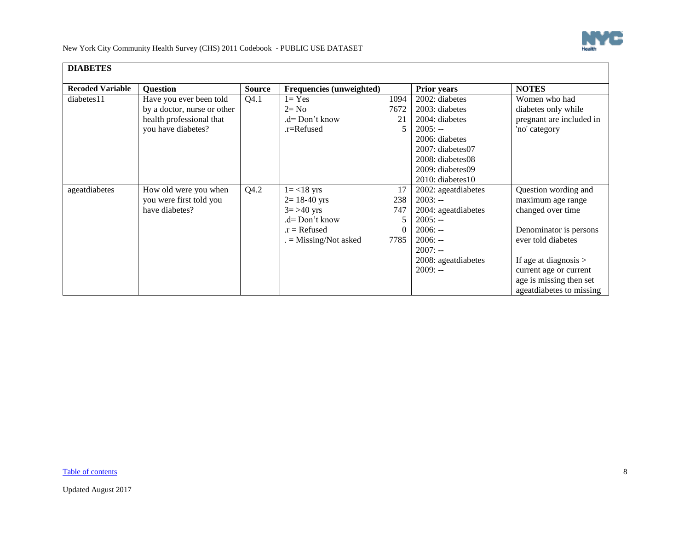

<span id="page-7-0"></span>

| <b>DIABETES</b>         |                             |               |                                 |      |                        |                          |
|-------------------------|-----------------------------|---------------|---------------------------------|------|------------------------|--------------------------|
| <b>Recoded Variable</b> | <b>Question</b>             | <b>Source</b> | <b>Frequencies (unweighted)</b> |      | <b>Prior years</b>     | <b>NOTES</b>             |
| diabetes11              | Have you ever been told     | Q4.1          | $l = Yes$                       | 1094 | 2002: diabetes         | Women who had            |
|                         | by a doctor, nurse or other |               | $2 = No$                        | 7672 | 2003: diabetes         | diabetes only while      |
|                         | health professional that    |               | .d= Don't know                  | 21   | 2004: diabetes         | pregnant are included in |
|                         | you have diabetes?          |               | .r=Refused                      |      | $2005: -$              | 'no' category            |
|                         |                             |               |                                 |      | 2006: diabetes         |                          |
|                         |                             |               |                                 |      | $2007$ : diabetes $07$ |                          |
|                         |                             |               |                                 |      | 2008: diabetes08       |                          |
|                         |                             |               |                                 |      | 2009: diabetes09       |                          |
|                         |                             |               |                                 |      | $2010$ : diabetes 10   |                          |
| ageatdiabetes           | How old were you when       | Q4.2          | $1 = < 18$ yrs                  | 17   | 2002: ageatdiabetes    | Question wording and     |
|                         | you were first told you     |               | $2 = 18-40$ yrs                 | 238  | $2003: -$              | maximum age range        |
|                         | have diabetes?              |               | $3 = > 40$ yrs                  | 747  | 2004: ageatdiabetes    | changed over time        |
|                         |                             |               | .d= Don't know                  |      | $2005: -$              |                          |
|                         |                             |               | $.r =$ Refused                  |      | $2006: -$              | Denominator is persons   |
|                         |                             |               | $=$ Missing/Not asked           | 7785 | $2006: -$              | ever told diabetes       |
|                         |                             |               |                                 |      | $2007: -$              |                          |
|                         |                             |               |                                 |      | 2008: ageatdiabetes    | If age at diagnosis $>$  |
|                         |                             |               |                                 |      | $2009: -$              | current age or current   |
|                         |                             |               |                                 |      |                        | age is missing then set  |
|                         |                             |               |                                 |      |                        | ageatdiabetes to missing |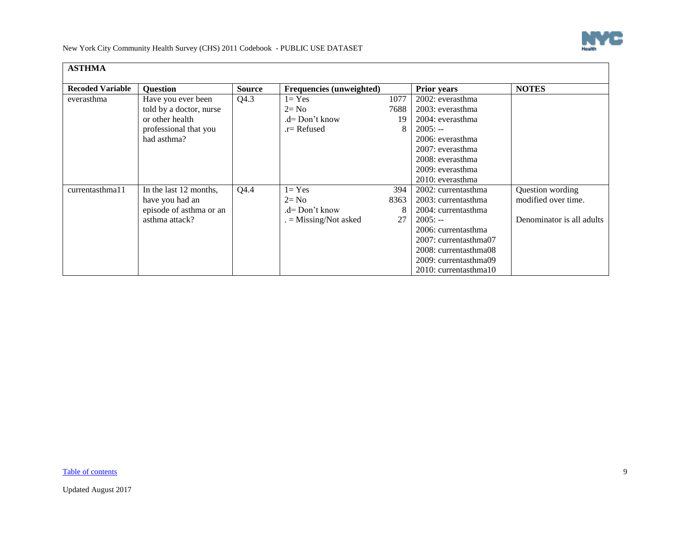

<span id="page-8-0"></span>

| <b>ASTHMA</b>           |                         |               |                          |      |                       |                           |
|-------------------------|-------------------------|---------------|--------------------------|------|-----------------------|---------------------------|
| <b>Recoded Variable</b> | <b>Ouestion</b>         | <b>Source</b> | Frequencies (unweighted) |      | <b>Prior years</b>    | <b>NOTES</b>              |
| everasthma              | Have you ever been      | Q4.3          | $1 = Yes$                | 1077 | 2002: everasthma      |                           |
|                         | told by a doctor, nurse |               | $2 = No$                 | 7688 | 2003: everasthma      |                           |
|                         | or other health         |               | $d=$ Don't know          | 19   | 2004: everasthma      |                           |
|                         | professional that you   |               | $r =$ Refused            |      | $2005: -$             |                           |
|                         | had asthma?             |               |                          |      | 2006: everasthma      |                           |
|                         |                         |               |                          |      | 2007: everasthma      |                           |
|                         |                         |               |                          |      | 2008: everasthma      |                           |
|                         |                         |               |                          |      | 2009: everasthma      |                           |
|                         |                         |               |                          |      | 2010: everasthma      |                           |
| currentasthma11         | In the last 12 months,  | Q4.4          | $1 = Yes$                | 394  | 2002: currentasthma   | Question wording          |
|                         | have you had an         |               | $2 = No$                 | 8363 | 2003: currentasthma   | modified over time.       |
|                         | episode of asthma or an |               | $d=$ Don't know          |      | 2004: currentasthma   |                           |
|                         | asthma attack?          |               | $=$ Missing/Not asked    | 27   | $2005: -$             | Denominator is all adults |
|                         |                         |               |                          |      | 2006: currentasthma   |                           |
|                         |                         |               |                          |      | 2007: currentasthma07 |                           |
|                         |                         |               |                          |      | 2008: currentasthma08 |                           |
|                         |                         |               |                          |      | 2009: currentasthma09 |                           |
|                         |                         |               |                          |      | 2010: currentasthma10 |                           |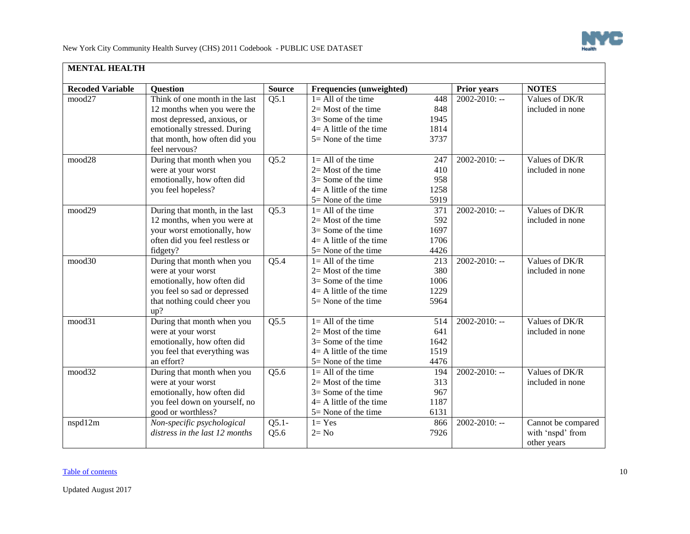

<span id="page-9-0"></span>

| <b>MENTAL HEALTH</b>    |                                |                   |                            |      |                    |                    |
|-------------------------|--------------------------------|-------------------|----------------------------|------|--------------------|--------------------|
| <b>Recoded Variable</b> | <b>Question</b>                | <b>Source</b>     | Frequencies (unweighted)   |      | <b>Prior years</b> | <b>NOTES</b>       |
| mood27                  | Think of one month in the last | Q5.1              | $1 = All of the time$      | 448  | $2002 - 2010$ : -- | Values of DK/R     |
|                         | 12 months when you were the    |                   | $2=$ Most of the time      | 848  |                    | included in none   |
|                         | most depressed, anxious, or    |                   | $3=$ Some of the time      | 1945 |                    |                    |
|                         | emotionally stressed. During   |                   | $4 = A$ little of the time | 1814 |                    |                    |
|                         | that month, how often did you  |                   | $5 =$ None of the time     | 3737 |                    |                    |
|                         | feel nervous?                  |                   |                            |      |                    |                    |
| mood28                  | During that month when you     | Q5.2              | $1 =$ All of the time      | 247  | $2002 - 2010$ : -- | Values of DK/R     |
|                         | were at your worst             |                   | $2=$ Most of the time      | 410  |                    | included in none   |
|                         | emotionally, how often did     |                   | $3=$ Some of the time      | 958  |                    |                    |
|                         | you feel hopeless?             |                   | $4 = A$ little of the time | 1258 |                    |                    |
|                         |                                |                   | $5 =$ None of the time     | 5919 |                    |                    |
| mood29                  | During that month, in the last | Q5.3              | $1 = All of the time$      | 371  | $2002 - 2010$ : -- | Values of DK/R     |
|                         | 12 months, when you were at    |                   | $2=$ Most of the time      | 592  |                    | included in none   |
|                         | your worst emotionally, how    |                   | $3 =$ Some of the time     | 1697 |                    |                    |
|                         | often did you feel restless or |                   | $4 = A$ little of the time | 1706 |                    |                    |
|                         | fidgety?                       |                   | 5= None of the time        | 4426 |                    |                    |
| mood30                  | During that month when you     | Q5.4              | $1 = All of the time$      | 213  | $2002 - 2010$ : -- | Values of DK/R     |
|                         | were at your worst             |                   | $2=$ Most of the time      | 380  |                    | included in none   |
|                         | emotionally, how often did     |                   | $3 =$ Some of the time     | 1006 |                    |                    |
|                         | you feel so sad or depressed   |                   | $4 = A$ little of the time | 1229 |                    |                    |
|                         | that nothing could cheer you   |                   | $5 =$ None of the time     | 5964 |                    |                    |
|                         | up?                            |                   |                            |      |                    |                    |
| mood31                  | During that month when you     | $\overline{Q5.5}$ | $1 = All of the time$      | 514  | $2002 - 2010$ : -- | Values of DK/R     |
|                         | were at your worst             |                   | $2=$ Most of the time      | 641  |                    | included in none   |
|                         | emotionally, how often did     |                   | $3 =$ Some of the time     | 1642 |                    |                    |
|                         | you feel that everything was   |                   | $4=$ A little of the time  | 1519 |                    |                    |
|                         | an effort?                     |                   | 5= None of the time        | 4476 |                    |                    |
| mood32                  | During that month when you     | Q5.6              | $1 = All of the time$      | 194  | $2002 - 2010$ : -- | Values of DK/R     |
|                         | were at your worst             |                   | $2=$ Most of the time      | 313  |                    | included in none   |
|                         | emotionally, how often did     |                   | $3 =$ Some of the time     | 967  |                    |                    |
|                         | you feel down on yourself, no  |                   | $4 = A$ little of the time | 1187 |                    |                    |
|                         | good or worthless?             |                   | $5 =$ None of the time     | 6131 |                    |                    |
| nspd12m                 | Non-specific psychological     | $Q5.1-$           | $1 = Yes$                  | 866  | $2002 - 2010$ : -- | Cannot be compared |
|                         | distress in the last 12 months | Q5.6              | $2 = No$                   | 7926 |                    | with 'nspd' from   |
|                         |                                |                   |                            |      |                    | other years        |

## [Table of contents](#page-0-1) 10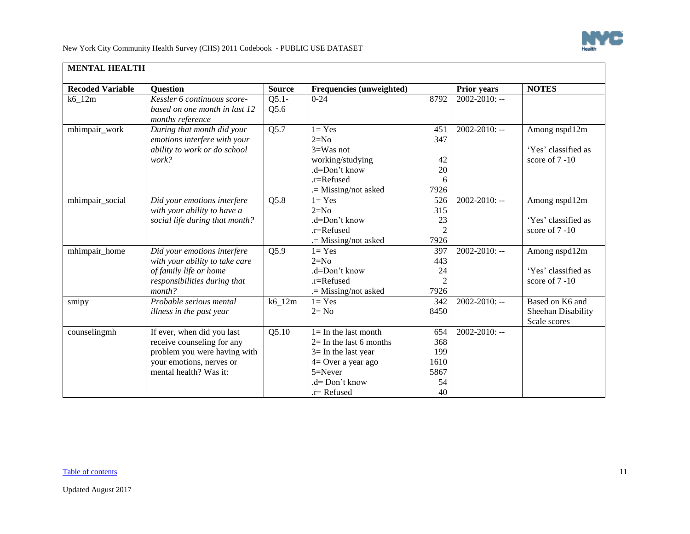

| <b>Recoded Variable</b> | <b>Question</b>                                                                                                                                | <b>Source</b>     | Frequencies (unweighted)                                                                                                                               |                                               | Prior years        | <b>NOTES</b>                                           |
|-------------------------|------------------------------------------------------------------------------------------------------------------------------------------------|-------------------|--------------------------------------------------------------------------------------------------------------------------------------------------------|-----------------------------------------------|--------------------|--------------------------------------------------------|
| $k6_12m$                | Kessler 6 continuous score-<br>based on one month in last 12<br>months reference                                                               | $Q5.1-$<br>Q5.6   | $0 - 24$                                                                                                                                               | 8792                                          | $2002 - 2010$ : -- |                                                        |
| mhimpair_work           | During that month did your<br>emotions interfere with your<br>ability to work or do school<br>work?                                            | Q5.7              | $1 = Yes$<br>$2=N0$<br>$3=$ Was not<br>working/studying<br>.d=Don't know<br>$.r =$ Refused<br>.= Missing/not asked                                     | 451<br>347<br>42<br>20<br>6<br>7926           | 2002-2010: --      | Among nspd12m<br>'Yes' classified as<br>score of 7 -10 |
| mhimpair_social         | Did your emotions interfere<br>with your ability to have a<br>social life during that month?                                                   | Q5.8              | $1 = Yes$<br>$2=N0$<br>.d=Don't know<br>$.r =$ Refused<br>.= Missing/not asked                                                                         | 526<br>315<br>23<br>7926                      | $2002 - 2010$ : -- | Among nspd12m<br>'Yes' classified as<br>score of 7 -10 |
| mhimpair_home           | Did your emotions interfere<br>with your ability to take care<br>of family life or home<br>responsibilities during that<br>month?              | $Q\overline{5.9}$ | $1 = Yes$<br>$2=N0$<br>.d=Don't know<br>.r=Refused<br>$=$ Missing/not asked                                                                            | 397<br>443<br>24<br>$\overline{2}$<br>7926    | $2002 - 2010$ : -- | Among nspd12m<br>'Yes' classified as<br>score of 7 -10 |
| smipy                   | Probable serious mental<br>illness in the past year                                                                                            | $k6_12m$          | $1 = Yes$<br>$2 = No$                                                                                                                                  | 342<br>8450                                   | $2002 - 2010$ : -- | Based on K6 and<br>Sheehan Disability<br>Scale scores  |
| counselingmh            | If ever, when did you last<br>receive counseling for any<br>problem you were having with<br>your emotions, nerves or<br>mental health? Was it: | Q5.10             | $1 =$ In the last month<br>$2=$ In the last 6 months<br>$3=$ In the last year<br>4= Over a year ago<br>$5 =$ Never<br>.d= Don't know<br>$.r =$ Refused | 654<br>368<br>199<br>1610<br>5867<br>54<br>40 | $2002 - 2010$ : -- |                                                        |

#### [Table of contents](#page-0-1) 11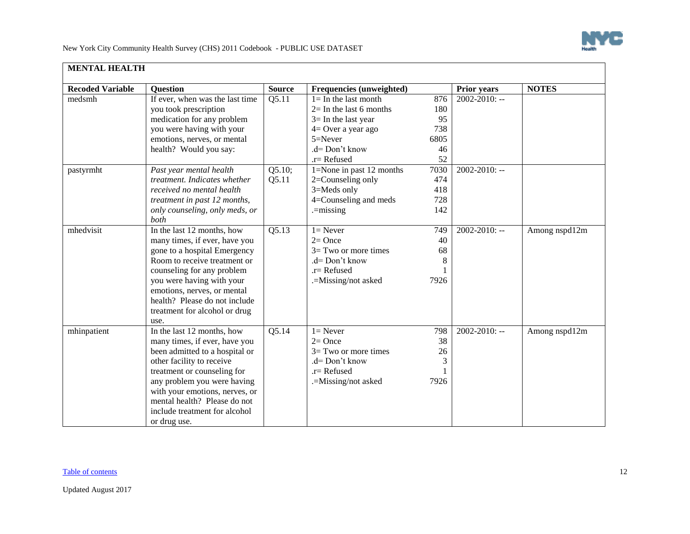

| <b>MENTAL HEALTH</b>    |                                                                                                                                                                                                                                                                                                             |                 |                                                                                                                                                            |                                             |                    |               |
|-------------------------|-------------------------------------------------------------------------------------------------------------------------------------------------------------------------------------------------------------------------------------------------------------------------------------------------------------|-----------------|------------------------------------------------------------------------------------------------------------------------------------------------------------|---------------------------------------------|--------------------|---------------|
| <b>Recoded Variable</b> | <b>Ouestion</b>                                                                                                                                                                                                                                                                                             | <b>Source</b>   | Frequencies (unweighted)                                                                                                                                   |                                             | <b>Prior years</b> | <b>NOTES</b>  |
| medsmh                  | If ever, when was the last time<br>you took prescription<br>medication for any problem<br>you were having with your<br>emotions, nerves, or mental<br>health? Would you say:                                                                                                                                | Q5.11           | $l = In$ the last month<br>$2=$ In the last 6 months<br>$3=$ In the last year<br>$4=$ Over a year ago<br>$5 =$ Never<br>$d = Don't know$<br>$.r =$ Refused | 876<br>180<br>95<br>738<br>6805<br>46<br>52 | $2002 - 2010$ : -- |               |
| pastyrmht               | Past year mental health<br>treatment. Indicates whether<br>received no mental health<br>treatment in past 12 months,<br>only counseling, only meds, or<br>both                                                                                                                                              | Q5.10;<br>Q5.11 | 1=None in past 12 months<br>2=Counseling only<br>3=Meds only<br>4=Counseling and meds<br>$=$ missing                                                       | 7030<br>474<br>418<br>728<br>142            | $2002 - 2010$ : -- |               |
| mhedvisit               | In the last 12 months, how<br>many times, if ever, have you<br>gone to a hospital Emergency<br>Room to receive treatment or<br>counseling for any problem<br>you were having with your<br>emotions, nerves, or mental<br>health? Please do not include<br>treatment for alcohol or drug<br>use.             | Q5.13           | $1 =$ Never<br>$2=$ Once<br>$3=$ Two or more times<br>.d= Don't know<br>$r =$ Refused<br>.=Missing/not asked                                               | 749<br>40<br>68<br>8<br>7926                | $2002 - 2010$ : -- | Among nspd12m |
| mhinpatient             | In the last 12 months, how<br>many times, if ever, have you<br>been admitted to a hospital or<br>other facility to receive<br>treatment or counseling for<br>any problem you were having<br>with your emotions, nerves, or<br>mental health? Please do not<br>include treatment for alcohol<br>or drug use. | Q5.14           | $1 =$ Never<br>$2=$ Once<br>$3=$ Two or more times<br>$d = Don't know$<br>$r =$ Refused<br>.=Missing/not asked                                             | 798<br>38<br>26<br>3<br>7926                | $2002 - 2010$ : -- | Among nspd12m |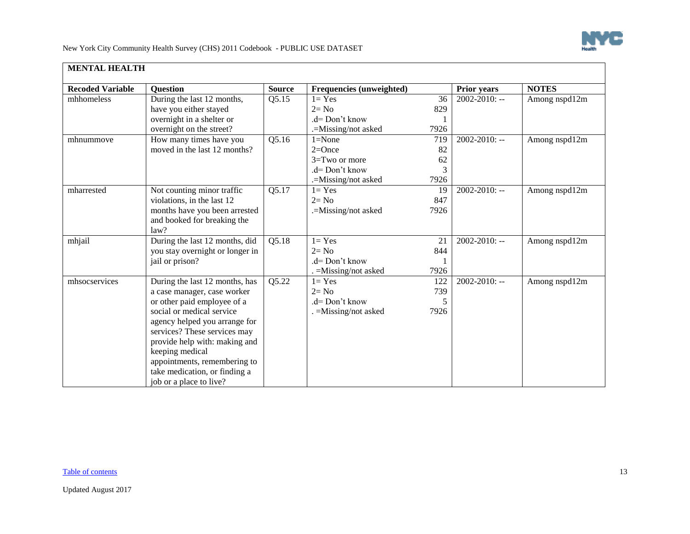

| <b>Recoded Variable</b> | <b>Question</b>                 | <b>Source</b> | Frequencies (unweighted) |      | Prior years        | <b>NOTES</b>  |
|-------------------------|---------------------------------|---------------|--------------------------|------|--------------------|---------------|
| mhhomeless              | During the last 12 months,      | Q5.15         | $1 = Yes$                | 36   | $2002 - 2010$ : -- | Among nspd12m |
|                         | have you either stayed          |               | $2 = No$                 | 829  |                    |               |
|                         | overnight in a shelter or       |               | $d = Don't know$         |      |                    |               |
|                         | overnight on the street?        |               | .=Missing/not asked      | 7926 |                    |               |
| mhnummove               | How many times have you         | Q5.16         | $1 = None$               | 719  | 2002-2010: --      | Among nspd12m |
|                         | moved in the last 12 months?    |               | $2=Once$                 | 82   |                    |               |
|                         |                                 |               | 3=Two or more            | 62   |                    |               |
|                         |                                 |               | .d= Don't know           | 3    |                    |               |
|                         |                                 |               | .=Missing/not asked      | 7926 |                    |               |
| mharrested              | Not counting minor traffic      | Q5.17         | $1 = Yes$                | 19   | $2002 - 2010$ : -- | Among nspd12m |
|                         | violations, in the last 12      |               | $2 = No$                 | 847  |                    |               |
|                         | months have you been arrested   |               | .=Missing/not asked      | 7926 |                    |               |
|                         | and booked for breaking the     |               |                          |      |                    |               |
|                         | law?                            |               |                          |      |                    |               |
| mhjail                  | During the last 12 months, did  | Q5.18         | $1 = Yes$                | 21   | $2002 - 2010$ : -- | Among nspd12m |
|                         | you stay overnight or longer in |               | $2 = No$                 | 844  |                    |               |
|                         | jail or prison?                 |               | $d = Don't know$         |      |                    |               |
|                         |                                 |               | $=M$ issing/not asked    | 7926 |                    |               |
| mhsocservices           | During the last 12 months, has  | Q5.22         | $1 = Yes$                | 122  | 2002-2010: --      | Among nspd12m |
|                         | a case manager, case worker     |               | $2 = No$                 | 739  |                    |               |
|                         | or other paid employee of a     |               | .d= Don't know           | 5    |                    |               |
|                         | social or medical service       |               | . = Missing/not asked    | 7926 |                    |               |
|                         | agency helped you arrange for   |               |                          |      |                    |               |
|                         | services? These services may    |               |                          |      |                    |               |
|                         | provide help with: making and   |               |                          |      |                    |               |
|                         | keeping medical                 |               |                          |      |                    |               |
|                         | appointments, remembering to    |               |                          |      |                    |               |
|                         | take medication, or finding a   |               |                          |      |                    |               |
|                         | job or a place to live?         |               |                          |      |                    |               |

[Table of contents](#page-0-1) 13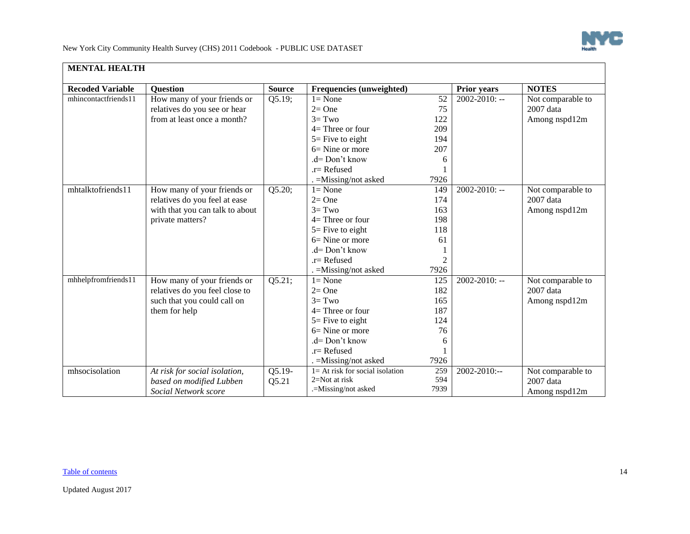

New York City Community Health Survey (CHS) 2011 Codebook - PUBLIC USE DATASET

| <b>MENTAL HEALTH</b>    |                                 |               |                                    |      |                    |                   |  |  |
|-------------------------|---------------------------------|---------------|------------------------------------|------|--------------------|-------------------|--|--|
| <b>Recoded Variable</b> | <b>Ouestion</b>                 | <b>Source</b> | Frequencies (unweighted)           |      | <b>Prior years</b> | <b>NOTES</b>      |  |  |
| mhincontactfriends11    | How many of your friends or     | Q5.19;        | $l = None$                         | 52   | $2002 - 2010$ : -- | Not comparable to |  |  |
|                         | relatives do you see or hear    |               | $2=One$                            | 75   |                    | 2007 data         |  |  |
|                         | from at least once a month?     |               | $3 = Two$                          | 122  |                    | Among nspd12m     |  |  |
|                         |                                 |               | $4=$ Three or four                 | 209  |                    |                   |  |  |
|                         |                                 |               | $5 =$ Five to eight                | 194  |                    |                   |  |  |
|                         |                                 |               | $6=$ Nine or more                  | 207  |                    |                   |  |  |
|                         |                                 |               | $d = Don't know$                   | 6    |                    |                   |  |  |
|                         |                                 |               | $r =$ Refused                      |      |                    |                   |  |  |
|                         |                                 |               | . = Missing/not asked              | 7926 |                    |                   |  |  |
| mhtalktofriends11       | How many of your friends or     | Q5.20;        | $1 = None$                         | 149  | $2002 - 2010$ : -- | Not comparable to |  |  |
|                         | relatives do you feel at ease   |               | $2=One$                            | 174  |                    | 2007 data         |  |  |
|                         | with that you can talk to about |               | $3 = Two$                          | 163  |                    | Among nspd12m     |  |  |
|                         | private matters?                |               | $4=$ Three or four                 | 198  |                    |                   |  |  |
|                         |                                 |               | $5 =$ Five to eight                | 118  |                    |                   |  |  |
|                         |                                 |               | $6=$ Nine or more                  | 61   |                    |                   |  |  |
|                         |                                 |               | .d= Don't know                     |      |                    |                   |  |  |
|                         |                                 |               | $r =$ Refused                      | 2    |                    |                   |  |  |
|                         |                                 |               | . = Missing/not asked              | 7926 |                    |                   |  |  |
| mhhelpfromfriends11     | How many of your friends or     | Q5.21;        | $l = None$                         | 125  | $2002 - 2010$ : -- | Not comparable to |  |  |
|                         | relatives do you feel close to  |               | $2=$ One                           | 182  |                    | 2007 data         |  |  |
|                         | such that you could call on     |               | $3 = Two$                          | 165  |                    | Among nspd12m     |  |  |
|                         | them for help                   |               | $4=$ Three or four                 | 187  |                    |                   |  |  |
|                         |                                 |               | $5 =$ Five to eight                | 124  |                    |                   |  |  |
|                         |                                 |               | $6 =$ Nine or more                 | 76   |                    |                   |  |  |
|                         |                                 |               | $d = Don't know$                   | 6    |                    |                   |  |  |
|                         |                                 |               | $r =$ Refused                      |      |                    |                   |  |  |
|                         |                                 |               | . = Missing/not asked              | 7926 |                    |                   |  |  |
| mhsocisolation          | At risk for social isolation,   | $Q5.19-$      | $1 = At$ risk for social isolation | 259  | 2002-2010:--       | Not comparable to |  |  |
|                         | based on modified Lubben        | Q5.21         | 2=Not at risk                      | 594  |                    | $2007$ data       |  |  |
|                         | Social Network score            |               | .=Missing/not asked                | 7939 |                    | Among nspd12m     |  |  |

#### [Table of contents](#page-0-1) 14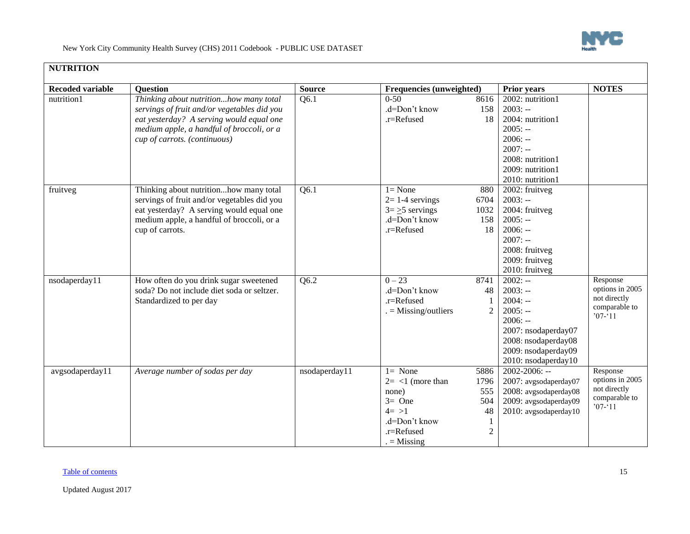

<span id="page-14-0"></span>

| <b>NUTRITION</b>        |                                                                                      |               |                          |                |                             |                 |  |  |  |  |
|-------------------------|--------------------------------------------------------------------------------------|---------------|--------------------------|----------------|-----------------------------|-----------------|--|--|--|--|
| <b>Recoded variable</b> | <b>Question</b>                                                                      | <b>Source</b> | Frequencies (unweighted) |                | <b>Prior years</b>          | <b>NOTES</b>    |  |  |  |  |
| nutrition1              | Thinking about nutritionhow many total                                               | Q6.1          | $0 - 50$                 | 8616           | 2002: nutrition1            |                 |  |  |  |  |
|                         | servings of fruit and/or vegetables did you                                          |               | .d=Don't know            | 158            | $2003: -$                   |                 |  |  |  |  |
|                         | eat yesterday? A serving would equal one                                             |               | .r=Refused               | 18             | 2004: nutrition1            |                 |  |  |  |  |
|                         | medium apple, a handful of broccoli, or a                                            |               |                          |                | $2005: -$                   |                 |  |  |  |  |
|                         | cup of carrots. (continuous)                                                         |               |                          |                | $2006: -$                   |                 |  |  |  |  |
|                         |                                                                                      |               |                          |                | $2007: -$                   |                 |  |  |  |  |
|                         |                                                                                      |               |                          |                | 2008: nutrition1            |                 |  |  |  |  |
|                         |                                                                                      |               |                          |                | 2009: nutrition1            |                 |  |  |  |  |
|                         |                                                                                      |               |                          |                | 2010: nutrition1            |                 |  |  |  |  |
| fruitveg                | Thinking about nutritionhow many total                                               | Q6.1          | $1 = None$               | 880            | 2002: fruitveg              |                 |  |  |  |  |
|                         | servings of fruit and/or vegetables did you                                          |               | $2=1-4$ servings         | 6704           | $2003: -$                   |                 |  |  |  |  |
|                         | eat yesterday? A serving would equal one                                             |               | $3 = \ge 5$ servings     | 1032           | 2004: fruitveg              |                 |  |  |  |  |
|                         | medium apple, a handful of broccoli, or a                                            |               | .d=Don't know            | 158            | $2005: -$                   |                 |  |  |  |  |
|                         | cup of carrots.                                                                      |               | .r=Refused               | 18             | $2006: -$                   |                 |  |  |  |  |
|                         |                                                                                      |               |                          |                | $2007: -$                   |                 |  |  |  |  |
|                         |                                                                                      |               |                          |                | 2008: fruitveg              |                 |  |  |  |  |
|                         |                                                                                      |               |                          |                | 2009: fruitveg              |                 |  |  |  |  |
|                         |                                                                                      |               | $0 - 23$                 |                | 2010: fruitveg<br>$2002: -$ | Response        |  |  |  |  |
| nsodaperday11           | How often do you drink sugar sweetened<br>soda? Do not include diet soda or seltzer. | Q6.2          | .d=Don't know            | 8741<br>48     | $2003: -$                   | options in 2005 |  |  |  |  |
|                         | Standardized to per day                                                              |               | .r=Refused               |                | $2004: -$                   | not directly    |  |  |  |  |
|                         |                                                                                      |               | $=$ Missing/outliers     | $\overline{c}$ | $2005: -$                   | comparable to   |  |  |  |  |
|                         |                                                                                      |               |                          |                | $2006: -$                   | $'07 - 11$      |  |  |  |  |
|                         |                                                                                      |               |                          |                | 2007: nsodaperday07         |                 |  |  |  |  |
|                         |                                                                                      |               |                          |                | 2008: nsodaperday08         |                 |  |  |  |  |
|                         |                                                                                      |               |                          |                | 2009: nsodaperday09         |                 |  |  |  |  |
|                         |                                                                                      |               |                          |                | 2010: nsodaperday10         |                 |  |  |  |  |
| avgsodaperday11         | Average number of sodas per day                                                      | nsodaperday11 | $1 = None$               | 5886           | 2002-2006: --               | Response        |  |  |  |  |
|                         |                                                                                      |               | $2 = <1$ (more than      | 1796           | 2007: avgsodaperday07       | options in 2005 |  |  |  |  |
|                         |                                                                                      |               | none)                    | 555            | 2008: avgsodaperday08       | not directly    |  |  |  |  |
|                         |                                                                                      |               | $3=$ One                 | 504            | 2009: avgsodaperday09       | comparable to   |  |  |  |  |
|                         |                                                                                      |               | $4 = >1$                 | 48             | 2010: avgsodaperday10       | $'07 - 11$      |  |  |  |  |
|                         |                                                                                      |               | .d=Don't know            |                |                             |                 |  |  |  |  |
|                         |                                                                                      |               | .r=Refused               | $\overline{c}$ |                             |                 |  |  |  |  |
|                         |                                                                                      |               | $=$ Missing              |                |                             |                 |  |  |  |  |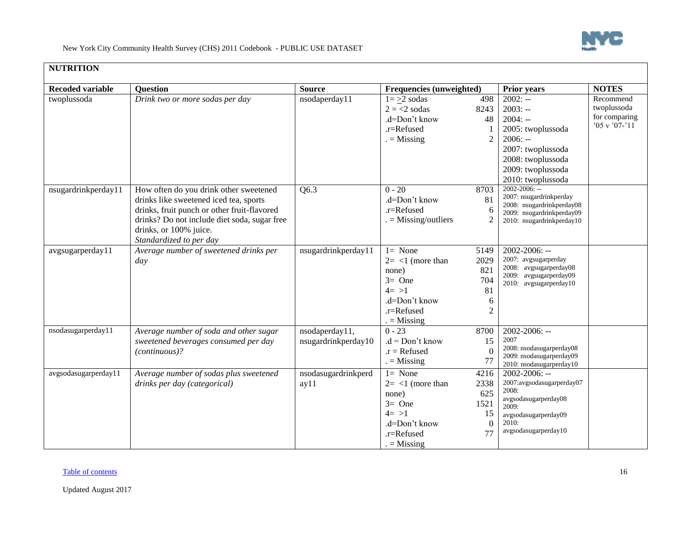

## **NUTRITION**

| <b>Recoded variable</b> | <b>Question</b>                              | <b>Source</b>       | Frequencies (unweighted) |                | <b>Prior years</b>                                   | <b>NOTES</b>      |
|-------------------------|----------------------------------------------|---------------------|--------------------------|----------------|------------------------------------------------------|-------------------|
| twoplussoda             | Drink two or more sodas per day              | nsodaperday11       | $1 = >2$ sodas           | 498            | $2002: -$                                            | Recommend         |
|                         |                                              |                     | $2 = 2$ sodas            | 8243           | $2003: -$                                            | twoplussoda       |
|                         |                                              |                     | .d=Don't know            | 48             | $2004: -$                                            | for comparing     |
|                         |                                              |                     | $.r =$ Refused           |                | 2005: twoplussoda                                    | $'05$ v $'07-'11$ |
|                         |                                              |                     | $=$ Missing              | $\overline{2}$ | $2006: -$                                            |                   |
|                         |                                              |                     |                          |                | 2007: twoplussoda                                    |                   |
|                         |                                              |                     |                          |                | 2008: twoplussoda                                    |                   |
|                         |                                              |                     |                          |                | 2009: twoplussoda                                    |                   |
|                         |                                              |                     |                          |                | 2010: twoplussoda                                    |                   |
| nsugardrinkperday11     | How often do you drink other sweetened       | Q6.3                | $0 - 20$                 | 8703           | $2002 - 2006$ : --                                   |                   |
|                         | drinks like sweetened iced tea, sports       |                     | .d=Don't know            | 81             | 2007: nsugardrinkperday<br>2008: nsugardrinkperday08 |                   |
|                         | drinks, fruit punch or other fruit-flavored  |                     | .r=Refused               | 6              | 2009: nsugardrinkperday09                            |                   |
|                         | drinks? Do not include diet soda, sugar free |                     | $=$ Missing/outliers     | $\overline{2}$ | 2010: nsugardrinkperday10                            |                   |
|                         | drinks, or 100% juice.                       |                     |                          |                |                                                      |                   |
|                         | Standardized to per day                      |                     |                          |                |                                                      |                   |
| avgsugarperday11        | Average number of sweetened drinks per       | nsugardrinkperday11 | $l = None$               | 5149           | $2002 - 2006$ : --                                   |                   |
|                         | day                                          |                     | $2 = <1$ (more than      | 2029           | 2007: avgsugarperday                                 |                   |
|                         |                                              |                     | none)                    | 821            | 2008: avgsugarperday08<br>2009: avgsugarperday09     |                   |
|                         |                                              |                     | $3=$ One                 | 704            | 2010: avgsugarperday10                               |                   |
|                         |                                              |                     | $4 = >1$                 | 81             |                                                      |                   |
|                         |                                              |                     | .d=Don't know            | 6              |                                                      |                   |
|                         |                                              |                     | .r=Refused               | $\overline{2}$ |                                                      |                   |
|                         |                                              |                     | $=$ Missing              |                |                                                      |                   |
| nsodasugarperday11      | Average number of soda and other sugar       | nsodaperday11,      | $0 - 23$                 | 8700           | $2002 - 2006$ : --                                   |                   |
|                         | sweetened beverages consumed per day         | nsugardrinkperday10 | $.d = Don't know$        | 15             | 2007<br>2008: nsodasugarperday08                     |                   |
|                         | (continuous)?                                |                     | $.r = Refused$           | $\Omega$       | 2009: nsodasugarperday09                             |                   |
|                         |                                              |                     | $=$ Missing              | 77             | 2010: nsodasugarperday10                             |                   |
| avgsodasugarperday11    | Average number of sodas plus sweetened       | nsodasugardrinkperd | $1 = None$               | 4216           | 2002-2006: --                                        |                   |
|                         | drinks per day (categorical)                 | ay11                | $2 = 1$ (more than       | 2338           | 2007:avgsodasugarperday07                            |                   |
|                         |                                              |                     | none)                    | 625            | 2008:<br>avgsodasugarperday08                        |                   |
|                         |                                              |                     | $3=$ One                 | 1521           | 2009:                                                |                   |
|                         |                                              |                     | $4 = >1$                 | 15             | avgsodasugarperday09                                 |                   |
|                         |                                              |                     | .d=Don't know            | $\Omega$       | 2010:                                                |                   |
|                         |                                              |                     | .r=Refused               | 77             | avgsodasugarperday10                                 |                   |
|                         |                                              |                     | $=$ Missing              |                |                                                      |                   |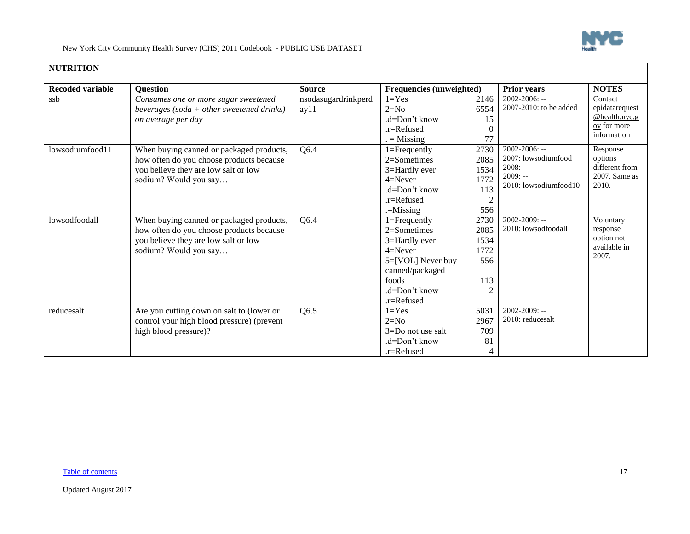

| <b>NUTRITION</b>        |                                            |                     |                          |                    |                                    |                            |
|-------------------------|--------------------------------------------|---------------------|--------------------------|--------------------|------------------------------------|----------------------------|
| <b>Recoded variable</b> | Question                                   | <b>Source</b>       | Frequencies (unweighted) | <b>Prior years</b> |                                    | <b>NOTES</b>               |
| ssb                     | Consumes one or more sugar sweetened       | nsodasugardrinkperd | $1 = Yes$                | 2146               | $2002 - 2006$ : --                 | Contact                    |
|                         | beverages (soda + other sweetened drinks)  | ay11                | $2=N0$                   | 6554               | 2007-2010: to be added             | epidatarequest             |
|                         | on average per day                         |                     | .d=Don't know            | 15                 |                                    | $@$ health.nyc.g           |
|                         |                                            |                     | .r=Refused               | $\Omega$           |                                    | $0y$ for more              |
|                         |                                            |                     | $=$ Missing              | 77                 |                                    | information                |
| lowsodiumfood11         | When buying canned or packaged products,   | Q6.4                | $1 =$ Frequently         | 2730               | $2002 - 2006$ : --                 | Response                   |
|                         | how often do you choose products because   |                     | $2=$ Sometimes           | 2085               | 2007: lowsodiumfood                | options                    |
|                         | you believe they are low salt or low       |                     | 3=Hardly ever            | 1534               | $2008: -$                          | different from             |
|                         | sodium? Would you say                      |                     | $4 =$ Never              | 1772               | $2009: -$<br>2010: lowsodiumfood10 | 2007. Same as<br>2010.     |
|                         |                                            |                     | $d=Don't know$           | 113                |                                    |                            |
|                         |                                            |                     | .r=Refused               | $\overline{2}$     |                                    |                            |
|                         |                                            |                     | $=$ Missing              | 556                |                                    |                            |
| lowsodfoodall           | When buying canned or packaged products,   | Q6.4                | $1 =$ Frequently         | 2730               | $2002 - 2009$ : --                 | Voluntary                  |
|                         | how often do you choose products because   |                     | 2=Sometimes              | 2085               | 2010: lowsodfoodall                | response                   |
|                         | you believe they are low salt or low       |                     | 3=Hardly ever            | 1534               |                                    | option not<br>available in |
|                         | sodium? Would you say                      |                     | $4 =$ Never              | 1772               |                                    | 2007.                      |
|                         |                                            |                     | 5=[VOL] Never buy        | 556                |                                    |                            |
|                         |                                            |                     | canned/packaged          |                    |                                    |                            |
|                         |                                            |                     | foods                    | 113                |                                    |                            |
|                         |                                            |                     | $d=Don't know$           |                    |                                    |                            |
|                         |                                            |                     | .r=Refused               |                    |                                    |                            |
| reducesalt              | Are you cutting down on salt to (lower or  | Q6.5                | $1 = Yes$                | 5031               | $2002 - 2009$ : --                 |                            |
|                         | control your high blood pressure) (prevent |                     | $2=N0$                   | 2967               | 2010: reducesalt                   |                            |
|                         | high blood pressure)?                      |                     | $3=$ Do not use salt     | 709                |                                    |                            |
|                         |                                            |                     | .d=Don't know            | 81                 |                                    |                            |
|                         |                                            |                     | .r=Refused               | 4                  |                                    |                            |

#### [Table of contents](#page-0-1) and the contents of the contents of the contents of the contents of the contents of the contents of the contents of the contents of the contents of the contents of the contents of the contents of the cont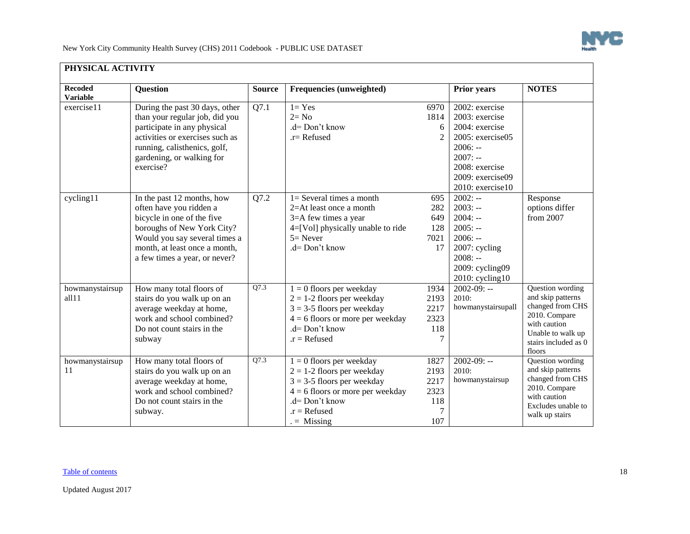

<span id="page-17-0"></span>

| <b>Recoded</b>                | <b>Question</b>                                                                                                                                           | <b>Source</b> | Frequencies (unweighted)                                                                                                                                                              |                                                 | Prior years                                                                                        | <b>NOTES</b>                                                                                                                                      |
|-------------------------------|-----------------------------------------------------------------------------------------------------------------------------------------------------------|---------------|---------------------------------------------------------------------------------------------------------------------------------------------------------------------------------------|-------------------------------------------------|----------------------------------------------------------------------------------------------------|---------------------------------------------------------------------------------------------------------------------------------------------------|
| <b>Variable</b><br>exercise11 | During the past 30 days, other<br>than your regular job, did you                                                                                          | Q7.1          | $1 = Yes$<br>$2 = No$                                                                                                                                                                 | 6970<br>1814                                    | 2002: exercise<br>2003: exercise                                                                   |                                                                                                                                                   |
|                               | participate in any physical<br>activities or exercises such as<br>running, calisthenics, golf,<br>gardening, or walking for<br>exercise?                  |               | $d = Don't know$<br>$.r =$ Refused                                                                                                                                                    | 6<br>$\mathfrak{D}$                             | 2004: exercise<br>2005: exercise05<br>$2006: -$<br>$2007: -$<br>2008: exercise<br>2009: exercise09 |                                                                                                                                                   |
| cycling11                     | In the past 12 months, how<br>often have you ridden a<br>bicycle in one of the five                                                                       | Q7.2          | $1 =$ Several times a month<br>$2=At$ least once a month<br>3=A few times a year                                                                                                      | 695<br>282<br>649                               | 2010: exercise10<br>$2002: -$<br>$2003: -$<br>$2004: -$                                            | Response<br>options differ<br>from 2007                                                                                                           |
|                               | boroughs of New York City?<br>Would you say several times a<br>month, at least once a month,<br>a few times a year, or never?                             |               | 4=[Vol] physically unable to ride<br>$5 =$ Never<br>.d= Don't know                                                                                                                    | 128<br>7021<br>17                               | $2005: -$<br>$2006: -$<br>2007: cycling<br>$2008: -$<br>2009: cycling09<br>$2010$ : cycling $10$   |                                                                                                                                                   |
| howmanystairsup<br>all11      | How many total floors of<br>stairs do you walk up on an<br>average weekday at home,<br>work and school combined?<br>Do not count stairs in the<br>subway  | Q7.3          | $1 = 0$ floors per weekday<br>$2 = 1-2$ floors per weekday<br>$3 = 3-5$ floors per weekday<br>$4 = 6$ floors or more per weekday<br>$d = Don't know$<br>$.r = Refused$                | 1934<br>2193<br>2217<br>2323<br>118             | $2002 - 09: -$<br>2010:<br>howmanystairsupall                                                      | Question wording<br>and skip patterns<br>changed from CHS<br>2010. Compare<br>with caution<br>Unable to walk up<br>stairs included as 0<br>floors |
| howmanystairsup<br>11         | How many total floors of<br>stairs do you walk up on an<br>average weekday at home,<br>work and school combined?<br>Do not count stairs in the<br>subway. | Q7.3          | $1 = 0$ floors per weekday<br>$2 = 1-2$ floors per weekday<br>$3 = 3-5$ floors per weekday<br>$4 = 6$ floors or more per weekday<br>$d = Don't know$<br>$.r = Refused$<br>$=$ Missing | 1827<br>2193<br>2217<br>2323<br>118<br>7<br>107 | $2002 - 09: -$<br>2010:<br>howmanystairsup                                                         | Question wording<br>and skip patterns<br>changed from CHS<br>2010. Compare<br>with caution<br>Excludes unable to<br>walk up stairs                |

#### [Table of contents](#page-0-1) and the contents of the contents of the contents of the contents of the contents of the contents of the contents of the contents of the contents of the contents of the contents of the contents of the cont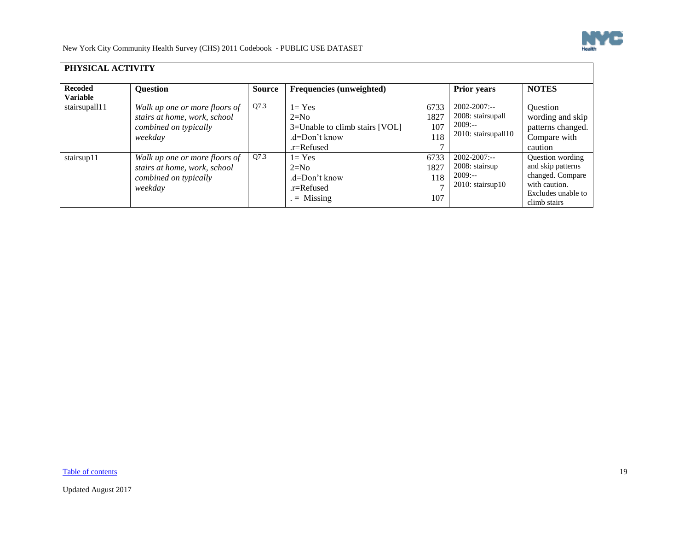

| PHYSICAL ACTIVITY                 |                                                                                                   |        |                                                                                      |                                              |                                                                            |                                                                                                                         |  |  |
|-----------------------------------|---------------------------------------------------------------------------------------------------|--------|--------------------------------------------------------------------------------------|----------------------------------------------|----------------------------------------------------------------------------|-------------------------------------------------------------------------------------------------------------------------|--|--|
| <b>Recoded</b><br><b>Variable</b> | <b>Question</b>                                                                                   | Source | Frequencies (unweighted)                                                             |                                              | <b>Prior years</b>                                                         | <b>NOTES</b>                                                                                                            |  |  |
| stairsupall11                     | Walk up one or more floors of<br>stairs at home, work, school<br>combined on typically<br>weekday | Q7.3   | $1 = Yes$<br>$2=N0$<br>3=Unable to climb stairs [VOL]<br>.d=Don't know<br>.r=Refused | 6733<br>1827<br>107<br>118                   | $2002 - 2007$ :--<br>2008: stairsupall<br>$2009: -$<br>2010: stairsupall10 | Question<br>wording and skip<br>patterns changed.<br>Compare with<br>caution                                            |  |  |
| stairsup11                        | Walk up one or more floors of<br>stairs at home, work, school<br>combined on typically<br>weekday | Q7.3   | $l = Yes$<br>$2=N0$<br>$d=Don't know$<br>.r=Refused<br>$=$ Missing                   | 6733<br>1827<br>118<br>$\overline{a}$<br>107 | $2002 - 2007$ :--<br>2008: stairsup<br>$2009: -$<br>$2010:$ stairsup $10$  | <b>Question</b> wording<br>and skip patterns<br>changed. Compare<br>with caution.<br>Excludes unable to<br>climb stairs |  |  |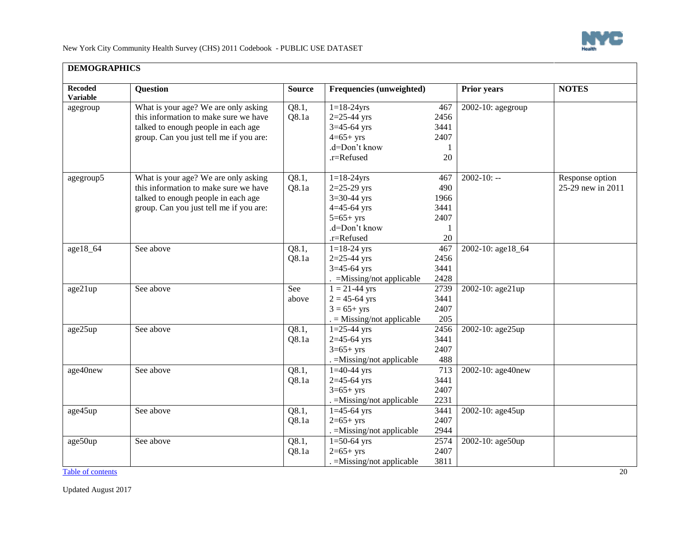

ᄀ

New York City Community Health Survey (CHS) 2011 Codebook - PUBLIC USE DATASET

<span id="page-19-0"></span>

| <b>Recoded</b><br><b>Variable</b> | <b>Question</b>                         | <b>Source</b> | <b>Frequencies (unweighted)</b> |      | Prior years       | <b>NOTES</b>      |
|-----------------------------------|-----------------------------------------|---------------|---------------------------------|------|-------------------|-------------------|
| agegroup                          | What is your age? We are only asking    | Q8.1,         | $1 = 18 - 24$ yrs               | 467  | 2002-10: agegroup |                   |
|                                   | this information to make sure we have   | Q8.1a         | $2 = 25 - 44$ yrs               | 2456 |                   |                   |
|                                   | talked to enough people in each age     |               | $3=45-64$ yrs                   | 3441 |                   |                   |
|                                   | group. Can you just tell me if you are: |               | $4=65+yrs$                      | 2407 |                   |                   |
|                                   |                                         |               | .d=Don't know                   | 1    |                   |                   |
|                                   |                                         |               | .r=Refused                      | 20   |                   |                   |
| agegroup5                         | What is your age? We are only asking    | Q8.1,         | $1 = 18 - 24$ yrs               | 467  | $2002 - 10: -$    | Response option   |
|                                   | this information to make sure we have   | Q8.1a         | $2 = 25 - 29$ yrs               | 490  |                   | 25-29 new in 2011 |
|                                   | talked to enough people in each age     |               | $3=30-44$ yrs                   | 1966 |                   |                   |
|                                   | group. Can you just tell me if you are: |               | $4 = 45 - 64$ yrs               | 3441 |                   |                   |
|                                   |                                         |               | $5=65+yrs$                      | 2407 |                   |                   |
|                                   |                                         |               | .d=Don't know                   | 1    |                   |                   |
|                                   |                                         |               | .r=Refused                      | 20   |                   |                   |
| age18_64                          | See above                               | Q8.1,         | $1 = 18 - 24$ yrs               | 467  | 2002-10: age18_64 |                   |
|                                   |                                         | Q8.1a         | $2=25-44$ yrs                   | 2456 |                   |                   |
|                                   |                                         |               | $3=45-64$ yrs                   | 3441 |                   |                   |
|                                   |                                         |               | $=$ Missing/not applicable      | 2428 |                   |                   |
| age21up                           | See above                               | See           | $1 = 21 - 44$ yrs               | 2739 | 2002-10: age21up  |                   |
|                                   |                                         | above         | $2 = 45 - 64$ yrs               | 3441 |                   |                   |
|                                   |                                         |               | $3 = 65 + yrs$                  | 2407 |                   |                   |
|                                   |                                         |               | $=$ Missing/not applicable      | 205  |                   |                   |
| age25up                           | See above                               | Q8.1,         | $1=25-44$ yrs                   | 2456 | 2002-10: age25up  |                   |
|                                   |                                         | Q8.1a         | $2=45-64$ yrs                   | 3441 |                   |                   |
|                                   |                                         |               | $3=65+yrs$                      | 2407 |                   |                   |
|                                   |                                         |               | . = Missing/not applicable      | 488  |                   |                   |
| age40new                          | See above                               | Q8.1,         | $1=40-44$ yrs                   | 713  | 2002-10: age40new |                   |
|                                   |                                         | Q8.1a         | $2=45-64$ yrs                   | 3441 |                   |                   |
|                                   |                                         |               | $3=65+yrs$                      | 2407 |                   |                   |
|                                   |                                         |               | . = Missing/not applicable      | 2231 |                   |                   |
| age45up                           | See above                               | Q8.1,         | $1=45-64$ yrs                   | 3441 | 2002-10: age45up  |                   |
|                                   |                                         | Q8.1a         | $2=65+yrs$                      | 2407 |                   |                   |
|                                   |                                         |               | . = Missing/not applicable      | 2944 |                   |                   |
| age50up                           | See above                               | Q8.1,         | $1=50-64$ yrs                   | 2574 | 2002-10: age50up  |                   |
|                                   |                                         | Q8.1a         | $2=65+yrs$                      | 2407 |                   |                   |
|                                   |                                         |               | . =Missing/not applicable       | 3811 |                   |                   |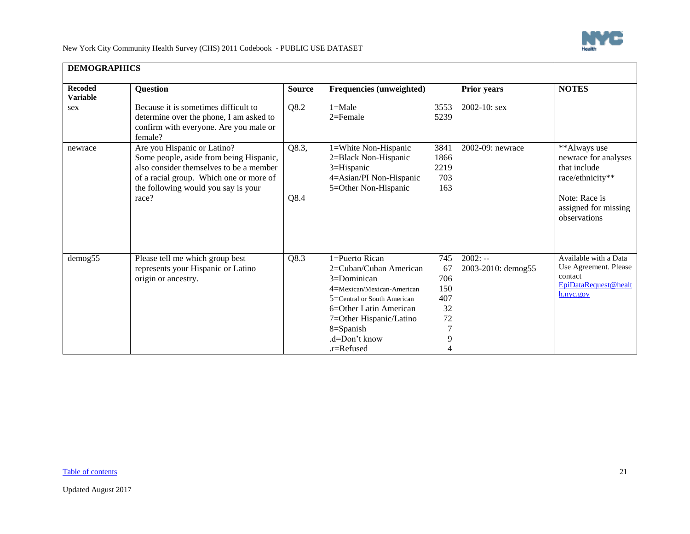

П

New York City Community Health Survey (CHS) 2011 Codebook - PUBLIC USE DATASET

| <b>Recoded</b><br><b>Variable</b> | <b>Question</b>                                                                                                                                                                                              | <b>Source</b> | <b>Frequencies (unweighted)</b>                                                                                                                                                                                           |                                                                        | <b>Prior years</b>              | <b>NOTES</b>                                                                                                                      |
|-----------------------------------|--------------------------------------------------------------------------------------------------------------------------------------------------------------------------------------------------------------|---------------|---------------------------------------------------------------------------------------------------------------------------------------------------------------------------------------------------------------------------|------------------------------------------------------------------------|---------------------------------|-----------------------------------------------------------------------------------------------------------------------------------|
| sex                               | Because it is sometimes difficult to<br>determine over the phone, I am asked to<br>confirm with everyone. Are you male or<br>female?                                                                         | Q8.2          | $1 = Male$<br>$2 =$ Female                                                                                                                                                                                                | 3553<br>5239                                                           | 2002-10: sex                    |                                                                                                                                   |
| newrace                           | Are you Hispanic or Latino?<br>Some people, aside from being Hispanic,<br>also consider themselves to be a member<br>of a racial group. Which one or more of<br>the following would you say is your<br>race? | Q8.3,<br>Q8.4 | 1=White Non-Hispanic<br>2=Black Non-Hispanic<br>3=Hispanic<br>4=Asian/PI Non-Hispanic<br>5=Other Non-Hispanic                                                                                                             | 3841<br>1866<br>2219<br>703<br>163                                     | 2002-09: newrace                | **Always use<br>newrace for analyses<br>that include<br>race/ethnicity**<br>Note: Race is<br>assigned for missing<br>observations |
| demog55                           | Please tell me which group best<br>represents your Hispanic or Latino<br>origin or ancestry.                                                                                                                 | Q8.3          | 1=Puerto Rican<br>2=Cuban/Cuban American<br>$3=$ Dominican<br>4=Mexican/Mexican-American<br>5=Central or South American<br>6=Other Latin American<br>7=Other Hispanic/Latino<br>8=Spanish<br>$d=Don't know$<br>.r=Refused | 745<br>67<br>706<br>150<br>407<br>32<br>72<br>$\overline{7}$<br>9<br>4 | $2002: -$<br>2003-2010: demog55 | Available with a Data<br>Use Agreement. Please<br>contact<br>EpiDataRequest@healt<br>h.nyc.gov                                    |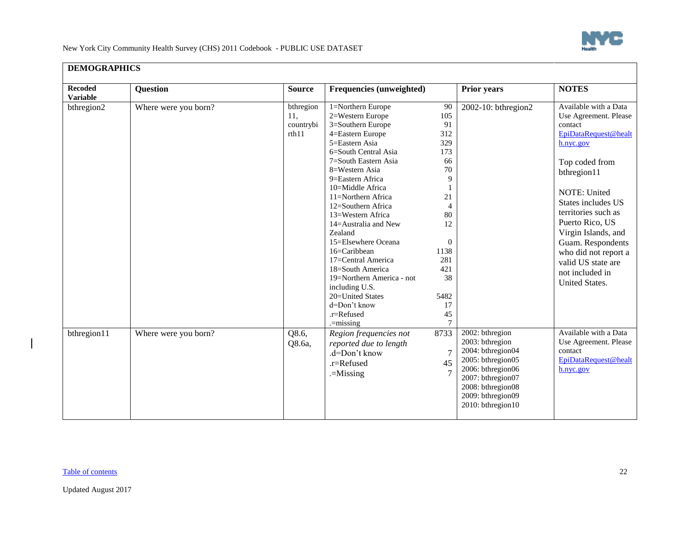

| <b>Recoded</b><br><b>Variable</b> | <b>Question</b>      | <b>Source</b>                          | <b>Frequencies (unweighted)</b>                                                                                                                                                                                                                                                                                                                                                                                                                                                                                 |                                                                                                                                                                 | <b>Prior years</b>                                                                                                                                                                    | <b>NOTES</b>                                                                                                                                                                                                                                                                                                                                   |
|-----------------------------------|----------------------|----------------------------------------|-----------------------------------------------------------------------------------------------------------------------------------------------------------------------------------------------------------------------------------------------------------------------------------------------------------------------------------------------------------------------------------------------------------------------------------------------------------------------------------------------------------------|-----------------------------------------------------------------------------------------------------------------------------------------------------------------|---------------------------------------------------------------------------------------------------------------------------------------------------------------------------------------|------------------------------------------------------------------------------------------------------------------------------------------------------------------------------------------------------------------------------------------------------------------------------------------------------------------------------------------------|
| bthregion2                        | Where were you born? | bthregion<br>11,<br>countrybi<br>rth11 | 1=Northern Europe<br>2=Western Europe<br>3=Southern Europe<br>4=Eastern Europe<br>5=Eastern Asia<br>6=South Central Asia<br>7=South Eastern Asia<br>8=Western Asia<br>9=Eastern Africa<br>10=Middle Africa<br>11=Northern Africa<br>12=Southern Africa<br>13=Western Africa<br>14=Australia and New<br>Zealand<br>15=Elsewhere Oceana<br>16=Caribbean<br>17=Central America<br>18=South America<br>19=Northern America - not<br>including U.S.<br>20=United States<br>d=Don't know<br>.r=Refused<br>$=$ missing | 90<br>105<br>91<br>312<br>329<br>173<br>66<br>70<br>9<br>21<br>4<br>80<br>12<br>$\mathbf{0}$<br>1138<br>281<br>421<br>38<br>5482<br>17<br>45<br>$7\phantom{.0}$ | 2002-10: bthregion2                                                                                                                                                                   | Available with a Data<br>Use Agreement. Please<br>contact<br>EpiDataRequest@healt<br>h.nyc.gov<br>Top coded from<br>bthregion11<br>NOTE: United<br>States includes US<br>territories such as<br>Puerto Rico, US<br>Virgin Islands, and<br>Guam. Respondents<br>who did not report a<br>valid US state are<br>not included in<br>United States. |
| bthregion11                       | Where were you born? | Q8.6,<br>Q8.6a,                        | Region frequencies not<br>reported due to length<br>.d=Don't know<br>.r=Refused<br>$=$ Missing                                                                                                                                                                                                                                                                                                                                                                                                                  | 8733<br>$\overline{7}$<br>45<br>$\overline{7}$                                                                                                                  | 2002: bthregion<br>2003: bthregion<br>2004: bthregion04<br>2005: bthregion05<br>2006: bthregion06<br>2007: bthregion07<br>2008: bthregion08<br>2009: bthregion09<br>2010: bthregion10 | Available with a Data<br>Use Agreement. Please<br>contact<br>EpiDataRequest@healt<br>h.nyc.gov                                                                                                                                                                                                                                                 |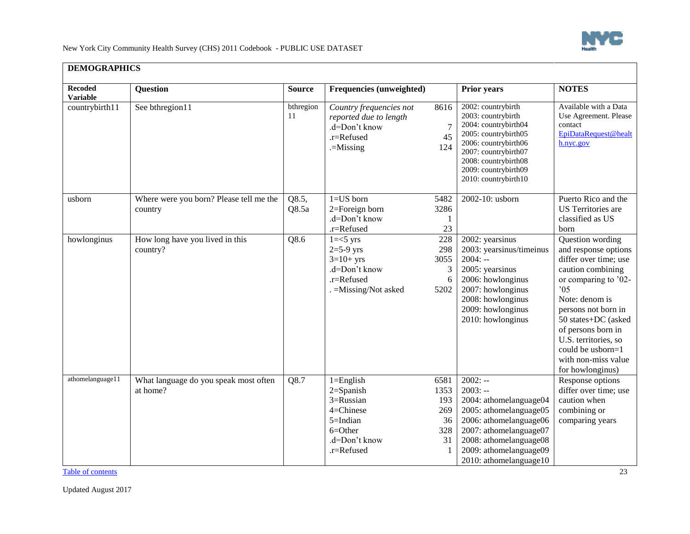

| <b>Recoded</b><br><b>Variable</b> | <b>Question</b>                                    | <b>Source</b>   | <b>Frequencies (unweighted)</b>                                                                                    |                                                    | <b>Prior years</b>                                                                                                                                                                                               | <b>NOTES</b>                                                                                                                                                                                                                                                                                       |
|-----------------------------------|----------------------------------------------------|-----------------|--------------------------------------------------------------------------------------------------------------------|----------------------------------------------------|------------------------------------------------------------------------------------------------------------------------------------------------------------------------------------------------------------------|----------------------------------------------------------------------------------------------------------------------------------------------------------------------------------------------------------------------------------------------------------------------------------------------------|
| countrybirth11                    | See bthregion11                                    | bthregion<br>11 | Country frequencies not<br>reported due to length<br>.d=Don't know<br>.r=Refused<br>$=$ Missing                    | 8616<br>$\overline{7}$<br>45<br>124                | 2002: countrybirth<br>2003: countrybirth<br>2004: countrybirth04<br>2005: countrybirth05<br>2006: countrybirth06<br>2007: countrybirth07<br>2008: countrybirth08<br>2009: countrybirth09<br>2010: countrybirth10 | Available with a Data<br>Use Agreement. Please<br>contact<br>EpiDataRequest@healt<br>h.nyc.gov                                                                                                                                                                                                     |
| usborn                            | Where were you born? Please tell me the<br>country | Q8.5,<br>Q8.5a  | $1 = US$ born<br>2=Foreign born<br>.d=Don't know<br>.r=Refused                                                     | 5482<br>3286<br>1<br>23                            | 2002-10: usborn                                                                                                                                                                                                  | Puerto Rico and the<br>US Territories are<br>classified as US<br>born                                                                                                                                                                                                                              |
| howlonginus                       | How long have you lived in this<br>country?        | Q8.6            | $1 = 5$ yrs<br>$2=5-9$ yrs<br>$3=10+$ yrs<br>.d=Don't know<br>$.r =$ Refused<br>. = Missing/Not asked              | 228<br>298<br>3055<br>3<br>6<br>5202               | 2002: yearsinus<br>2003: yearsinus/timeinus<br>$2004: -$<br>2005: yearsinus<br>2006: howlonginus<br>2007: howlonginus<br>2008: howlonginus<br>2009: howlonginus<br>2010: howlonginus                             | Question wording<br>and response options<br>differ over time; use<br>caution combining<br>or comparing to '02-<br>05<br>Note: denom is<br>persons not born in<br>50 states+DC (asked<br>of persons born in<br>U.S. territories, so<br>could be usborn=1<br>with non-miss value<br>for howlonginus) |
| athomelanguage11                  | What language do you speak most often<br>at home?  | Q8.7            | $1 =$ English<br>$2 =$ Spanish<br>3=Russian<br>4=Chinese<br>5=Indian<br>$6 = Other$<br>.d=Don't know<br>.r=Refused | 6581<br>1353<br>193<br>269<br>36<br>328<br>31<br>1 | $2002: -$<br>$2003: -$<br>2004: athomelanguage04<br>2005: athomelanguage05<br>2006: athomelanguage06<br>2007: athomelanguage07<br>2008: athomelanguage08<br>2009: athomelanguage09                               | Response options<br>differ over time; use<br>caution when<br>combining or<br>comparing years                                                                                                                                                                                                       |

#### **DEMOGRAPHICS**

[Table of contents](#page-0-1) 23

2010: athomelanguage10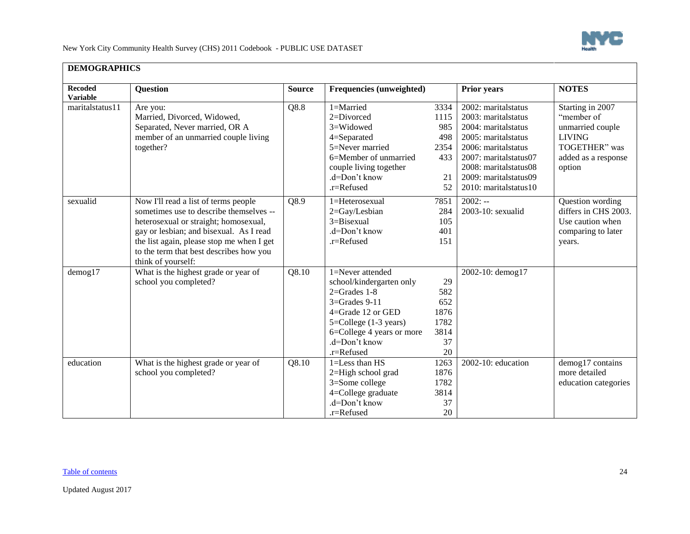

 $\overline{\phantom{0}}$ 

New York City Community Health Survey (CHS) 2011 Codebook - PUBLIC USE DATASET

| <b>DEMOGRAPHICS</b>               |                                                                                                                                                                                                                                                                                   |               |                                                                                                                                                                                                                     |                                                       |                                                                                                                                                                                                                       |                                                                                                                       |  |  |
|-----------------------------------|-----------------------------------------------------------------------------------------------------------------------------------------------------------------------------------------------------------------------------------------------------------------------------------|---------------|---------------------------------------------------------------------------------------------------------------------------------------------------------------------------------------------------------------------|-------------------------------------------------------|-----------------------------------------------------------------------------------------------------------------------------------------------------------------------------------------------------------------------|-----------------------------------------------------------------------------------------------------------------------|--|--|
| <b>Recoded</b><br><b>Variable</b> | Question                                                                                                                                                                                                                                                                          | <b>Source</b> | Frequencies (unweighted)                                                                                                                                                                                            |                                                       | <b>Prior years</b>                                                                                                                                                                                                    | <b>NOTES</b>                                                                                                          |  |  |
| maritalstatus11                   | Are you:<br>Married, Divorced, Widowed,<br>Separated, Never married, OR A<br>member of an unmarried couple living<br>together?                                                                                                                                                    | Q8.8          | $1 =$ Married<br>2=Divorced<br>3=Widowed<br>4=Separated<br>5=Never married<br>6=Member of unmarried<br>couple living together<br>.d=Don't know<br>.r=Refused                                                        | 3334<br>1115<br>985<br>498<br>2354<br>433<br>21<br>52 | 2002: maritalstatus<br>2003: marital status<br>2004: maritalstatus<br>2005: marital status<br>2006: maritalstatus<br>2007: maritalstatus07<br>2008: maritalstatus08<br>2009: maritalstatus09<br>2010: maritalstatus10 | Starting in 2007<br>"member of<br>unmarried couple<br><b>LIVING</b><br>TOGETHER" was<br>added as a response<br>option |  |  |
| sexualid                          | Now I'll read a list of terms people<br>sometimes use to describe themselves --<br>heterosexual or straight; homosexual,<br>gay or lesbian; and bisexual. As I read<br>the list again, please stop me when I get<br>to the term that best describes how you<br>think of yourself: | Q8.9          | 1=Heterosexual<br>2=Gay/Lesbian<br>$3 = Bisexual$<br>.d=Don't know<br>.r=Refused                                                                                                                                    | 7851<br>284<br>105<br>401<br>151                      | $2002: -$<br>2003-10: sexualid                                                                                                                                                                                        | Question wording<br>differs in CHS 2003.<br>Use caution when<br>comparing to later<br>years.                          |  |  |
| $d$ emog $17$                     | What is the highest grade or year of<br>school you completed?                                                                                                                                                                                                                     | Q8.10         | 1=Never attended<br>school/kindergarten only<br>$2 =$ Grades 1-8<br>$3 =$ Grades $9-11$<br>$4 =$ Grade 12 or GED<br>$5 =$ College $(1-3 \text{ years})$<br>6=College 4 years or more<br>.d=Don't know<br>.r=Refused | 29<br>582<br>652<br>1876<br>1782<br>3814<br>37<br>20  | 2002-10: demog17                                                                                                                                                                                                      |                                                                                                                       |  |  |
| education                         | What is the highest grade or year of<br>school you completed?                                                                                                                                                                                                                     | Q8.10         | 1=Less than HS<br>2=High school grad<br>3=Some college<br>4=College graduate<br>.d=Don't know<br>.r=Refused                                                                                                         | 1263<br>1876<br>1782<br>3814<br>37<br>20              | 2002-10: education                                                                                                                                                                                                    | demog17 contains<br>more detailed<br>education categories                                                             |  |  |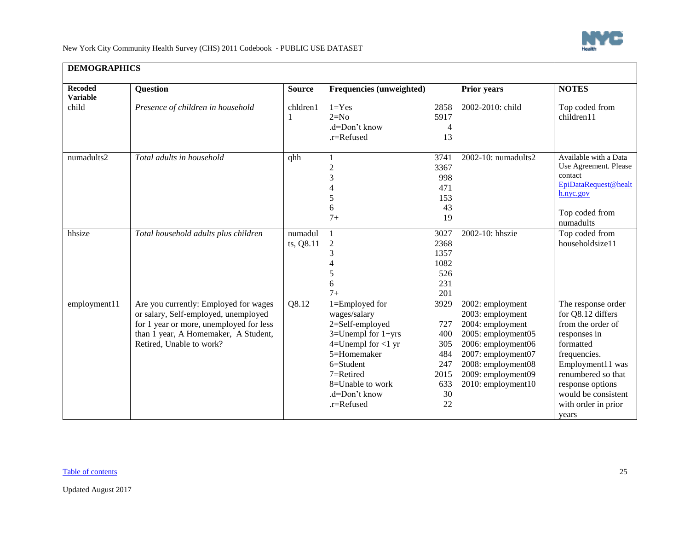

Π

New York City Community Health Survey (CHS) 2011 Codebook - PUBLIC USE DATASET

| DEMOGRAI IIICO                    |                                                                                                                                                                                              |                      |                                                                                                                                                                                                       |                                                                    |                                                                                                                                                                                              |                                                                                                                                                                                                                                |  |  |  |
|-----------------------------------|----------------------------------------------------------------------------------------------------------------------------------------------------------------------------------------------|----------------------|-------------------------------------------------------------------------------------------------------------------------------------------------------------------------------------------------------|--------------------------------------------------------------------|----------------------------------------------------------------------------------------------------------------------------------------------------------------------------------------------|--------------------------------------------------------------------------------------------------------------------------------------------------------------------------------------------------------------------------------|--|--|--|
| <b>Recoded</b><br><b>Variable</b> | <b>Question</b>                                                                                                                                                                              | <b>Source</b>        | <b>Frequencies (unweighted)</b>                                                                                                                                                                       |                                                                    | <b>Prior years</b>                                                                                                                                                                           | <b>NOTES</b>                                                                                                                                                                                                                   |  |  |  |
| child                             | Presence of children in household                                                                                                                                                            | chldren1             | $1 = Yes$<br>$2=N0$<br>.d=Don't know<br>.r=Refused                                                                                                                                                    | 2858<br>5917<br>4<br>13                                            | 2002-2010: child                                                                                                                                                                             | Top coded from<br>children11                                                                                                                                                                                                   |  |  |  |
| numadults2                        | Total adults in household                                                                                                                                                                    | qhh                  | 1<br>$\mathbf{2}$<br>3<br>4<br>5<br>6<br>$7+$                                                                                                                                                         | 3741<br>3367<br>998<br>471<br>153<br>43<br>19                      | 2002-10: numadults2                                                                                                                                                                          | Available with a Data<br>Use Agreement. Please<br>contact<br>EpiDataRequest@healt<br>h.nyc.gov<br>Top coded from<br>numadults                                                                                                  |  |  |  |
| hhsize                            | Total household adults plus children                                                                                                                                                         | numadul<br>ts, Q8.11 | $\overline{c}$<br>3<br>4<br>5<br>6<br>$7+$                                                                                                                                                            | 3027<br>2368<br>1357<br>1082<br>526<br>231<br>201                  | 2002-10: hhszie                                                                                                                                                                              | Top coded from<br>householdsize11                                                                                                                                                                                              |  |  |  |
| employment11                      | Are you currently: Employed for wages<br>or salary, Self-employed, unemployed<br>for 1 year or more, unemployed for less<br>than 1 year, A Homemaker, A Student,<br>Retired, Unable to work? | Q8.12                | 1=Employed for<br>wages/salary<br>2=Self-employed<br>$3=$ Unempl for $1+$ yrs<br>4=Unempl for $<$ 1 yr<br>5=Homemaker<br>6=Student<br>7=Retired<br>$8=$ Unable to work<br>.d=Don't know<br>.r=Refused | 3929<br>727<br>400<br>305<br>484<br>247<br>2015<br>633<br>30<br>22 | 2002: employment<br>2003: employment<br>2004: employment<br>2005: employment05<br>2006: employment06<br>2007: employment07<br>2008: employment08<br>2009: employment09<br>2010: employment10 | The response order<br>for Q8.12 differs<br>from the order of<br>responses in<br>formatted<br>frequencies.<br>Employment11 was<br>renumbered so that<br>response options<br>would be consistent<br>with order in prior<br>years |  |  |  |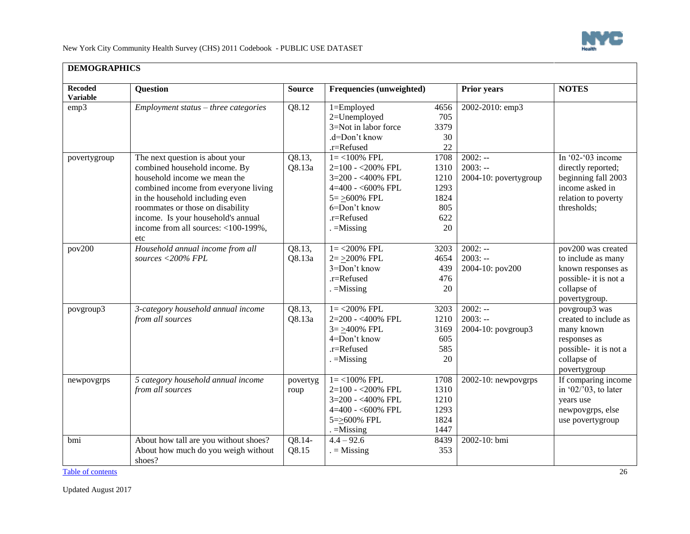

| DEMOGRAPHICS                      |                                                                                                                                                                                                                                                                                                     |                   |                                                                                                                                                             |                                                          |                                                 |                                                                                                                              |  |  |
|-----------------------------------|-----------------------------------------------------------------------------------------------------------------------------------------------------------------------------------------------------------------------------------------------------------------------------------------------------|-------------------|-------------------------------------------------------------------------------------------------------------------------------------------------------------|----------------------------------------------------------|-------------------------------------------------|------------------------------------------------------------------------------------------------------------------------------|--|--|
| <b>Recoded</b><br><b>Variable</b> | <b>Question</b>                                                                                                                                                                                                                                                                                     | <b>Source</b>     | Frequencies (unweighted)                                                                                                                                    |                                                          | Prior years                                     | <b>NOTES</b>                                                                                                                 |  |  |
| emp3                              | Employment status - three categories                                                                                                                                                                                                                                                                | Q8.12             | 1=Employed<br>2=Unemployed<br>3=Not in labor force<br>.d=Don't know<br>.r=Refused                                                                           | 4656<br>705<br>3379<br>30<br>22                          | 2002-2010: emp3                                 |                                                                                                                              |  |  |
| povertygroup                      | The next question is about your<br>combined household income. By<br>household income we mean the<br>combined income from everyone living<br>in the household including even<br>roommates or those on disability<br>income. Is your household's annual<br>income from all sources: <100-199%,<br>etc | Q8.13,<br>Q8.13a  | $1 = < 100\%$ FPL<br>2=100 - < 200% FPL<br>$3=200 - <400\%$ FPL<br>$4=400 - 600\%$ FPL<br>$5 = \geq 600\%$ FPL<br>6=Don't know<br>.r=Refused<br>$=$ Missing | 1708<br>1310<br>1210<br>1293<br>1824<br>805<br>622<br>20 | $2002: -$<br>$2003: -$<br>2004-10: povertygroup | In '02-'03 income<br>directly reported;<br>beginning fall 2003<br>income asked in<br>relation to poverty<br>thresholds;      |  |  |
| pov200                            | Household annual income from all<br>sources <200% FPL                                                                                                                                                                                                                                               | Q8.13,<br>Q8.13a  | $1 = 200\%$ FPL<br>$2 = 200\%$ FPL<br>3=Don't know<br>.r=Refused<br>$. =$ Missing                                                                           | 3203<br>4654<br>439<br>476<br>20                         | $2002: -$<br>$2003: -$<br>2004-10: pov200       | pov200 was created<br>to include as many<br>known responses as<br>possible- it is not a<br>collapse of<br>povertygroup.      |  |  |
| povgroup3                         | 3-category household annual income<br>from all sources                                                                                                                                                                                                                                              | Q8.13,<br>Q8.13a  | $1 = 200\%$ FPL<br>2=200 - <400% FPL<br>$3 = >400\%$ FPL<br>4=Don't know<br>.r=Refused<br>$=$ Missing                                                       | 3203<br>1210<br>3169<br>605<br>585<br>20                 | $2002: -$<br>$2003: -$<br>2004-10: povgroup3    | povgroup3 was<br>created to include as<br>many known<br>responses as<br>possible- it is not a<br>collapse of<br>povertygroup |  |  |
| newpovgrps                        | 5 category household annual income<br>from all sources                                                                                                                                                                                                                                              | povertyg<br>roup  | $1 = < 100\%$ FPL<br>2=100 - < 200% FPL<br>3=200 - <400% FPL<br>$4=400 - 600\%$ FPL<br>5=>600% FPL<br>$=$ Missing                                           | 1708<br>1310<br>1210<br>1293<br>1824<br>1447             | $2002 - 10$ : newpovgrps                        | If comparing income<br>in '02/'03, to later<br>years use<br>newpovgrps, else<br>use povertygroup                             |  |  |
| bmi                               | About how tall are you without shoes?<br>About how much do you weigh without<br>shoes?                                                                                                                                                                                                              | $Q8.14-$<br>Q8.15 | $4.4 - 92.6$<br>$=$ Missing                                                                                                                                 | 8439<br>353                                              | 2002-10: bmi                                    |                                                                                                                              |  |  |

#### **DEMOGRAPHICS**

[Table of contents](#page-0-1) 26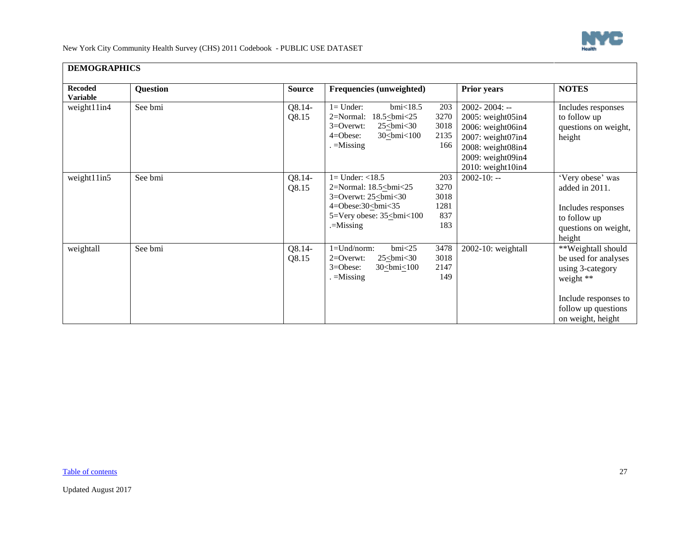

┓

| DEMOGRAPHICS                      |          |                 |                                                                                                                                                                                                           |                                                                                                                                                         |                                                                                                                                                 |
|-----------------------------------|----------|-----------------|-----------------------------------------------------------------------------------------------------------------------------------------------------------------------------------------------------------|---------------------------------------------------------------------------------------------------------------------------------------------------------|-------------------------------------------------------------------------------------------------------------------------------------------------|
| <b>Recoded</b><br><b>Variable</b> | Question | <b>Source</b>   | <b>Frequencies (unweighted)</b>                                                                                                                                                                           | <b>Prior years</b>                                                                                                                                      | <b>NOTES</b>                                                                                                                                    |
| weight11in4                       | See bmi  | Q8.14-<br>Q8.15 | $bmi$ <18.5<br>$l = Under:$<br>203<br>$18.5 \leq$ bmi<25<br>3270<br>$2=Normal$ :<br>3018<br>$3=0$ verwt:<br>$25 \leq bmi < 30$<br>2135<br>$4 = Obese$ :<br>30<br><u><br/> state</u><br>$=$ Missing<br>166 | $2002 - 2004$ : --<br>2005: weight05in4<br>2006: weight06in4<br>$2007$ : weight $07$ in4<br>2008: weight08in4<br>2009: weight09in4<br>2010: weight10in4 | Includes responses<br>to follow up<br>questions on weight,<br>height                                                                            |
| weight11in5                       | See bmi  | Q8.14-<br>Q8.15 | $1 =$ Under: $<$ 18.5<br>203<br>3270<br>2=Normal: 18.5<br>bmi<25<br>3018<br>$3 =$ Overwt: $25 <$ bmi $<$ 30<br>                                                                                           | $2002 - 10: -$                                                                                                                                          | 'Very obese' was<br>added in 2011.<br>Includes responses<br>to follow up<br>questions on weight,<br>height                                      |
| weightall                         | See bmi  | Q8.14-<br>Q8.15 | bmi<25<br>3478<br>$1 = Und/norm$ :<br>3018<br>$2=0$ verwt:<br>$25 \leq bmi < 30$<br>$3 = O$ bese:<br>2147<br>30<br>30<br>200<br>149<br>$=$ Missing                                                        | 2002-10: weightall                                                                                                                                      | **Weightall should<br>be used for analyses<br>using 3-category<br>weight **<br>Include responses to<br>follow up questions<br>on weight, height |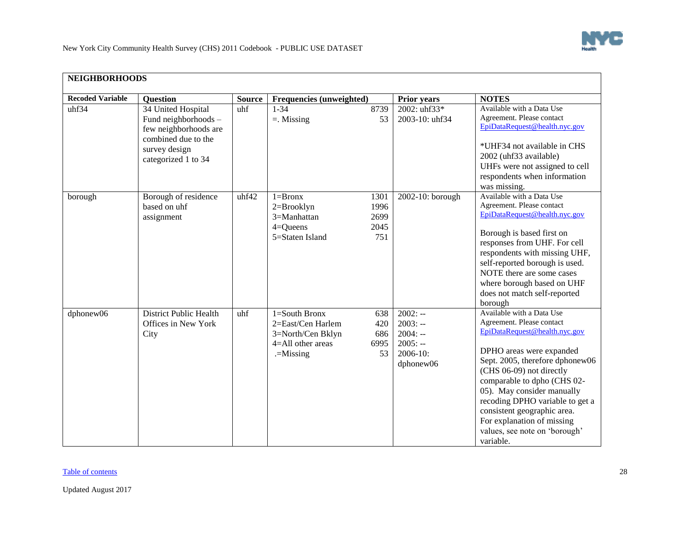

<span id="page-27-0"></span>

| <b>NEIGHBORHOODS</b>    |                                                                                                                                    |               |                                                                                                 |                                     |                                                                           |                                                                                                                                                                                                                                                                                                                                                                                               |  |  |
|-------------------------|------------------------------------------------------------------------------------------------------------------------------------|---------------|-------------------------------------------------------------------------------------------------|-------------------------------------|---------------------------------------------------------------------------|-----------------------------------------------------------------------------------------------------------------------------------------------------------------------------------------------------------------------------------------------------------------------------------------------------------------------------------------------------------------------------------------------|--|--|
| <b>Recoded Variable</b> | <b>Question</b>                                                                                                                    | <b>Source</b> | Frequencies (unweighted)                                                                        |                                     | <b>Prior years</b>                                                        | <b>NOTES</b>                                                                                                                                                                                                                                                                                                                                                                                  |  |  |
| uhf34                   | 34 United Hospital<br>Fund neighborhoods -<br>few neighborhoods are<br>combined due to the<br>survey design<br>categorized 1 to 34 | uhf           | $1 - 34$<br>$=$ . Missing                                                                       | 8739<br>53                          | 2002: $uhf33*$<br>2003-10: uhf34                                          | Available with a Data Use<br>Agreement. Please contact<br>EpiDataRequest@health.nyc.gov<br>*UHF34 not available in CHS<br>2002 (uhf33 available)<br>UHFs were not assigned to cell<br>respondents when information<br>was missing.                                                                                                                                                            |  |  |
| borough                 | Borough of residence<br>based on uhf<br>assignment                                                                                 | uhf42         | $1 = Bronx$<br>$2 = Brooklyn$<br>3=Manhattan<br>$4 =$ Queens<br>5=Staten Island                 | 1301<br>1996<br>2699<br>2045<br>751 | 2002-10: borough                                                          | Available with a Data Use<br>Agreement. Please contact<br>EpiDataRequest@health.nyc.gov<br>Borough is based first on<br>responses from UHF. For cell<br>respondents with missing UHF,<br>self-reported borough is used.<br>NOTE there are some cases<br>where borough based on UHF<br>does not match self-reported<br>borough                                                                 |  |  |
| dphonew06               | <b>District Public Health</b><br>Offices in New York<br>City                                                                       | uhf           | 1=South Bronx<br>2=East/Cen Harlem<br>3=North/Cen Bklyn<br>$4 =$ All other areas<br>$=$ Missing | 638<br>420<br>686<br>6995<br>53     | $2002: -$<br>$2003: -$<br>$2004: -$<br>$2005: -$<br>2006-10:<br>dphonew06 | Available with a Data Use<br>Agreement. Please contact<br>EpiDataRequest@health.nyc.gov<br>DPHO areas were expanded<br>Sept. 2005, therefore dphonew06<br>(CHS 06-09) not directly<br>comparable to dpho (CHS 02-<br>05). May consider manually<br>recoding DPHO variable to get a<br>consistent geographic area.<br>For explanation of missing<br>values, see note on 'borough'<br>variable. |  |  |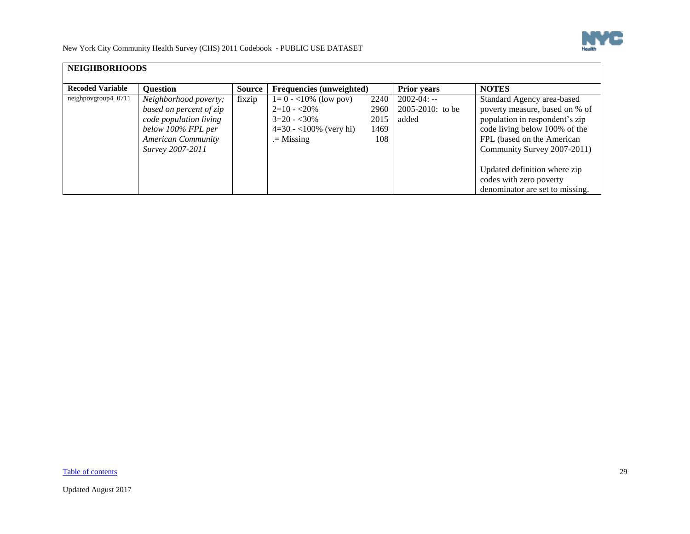

| <b>NEIGHBORHOODS</b>    |                           |               |                                 |      |                       |                                 |
|-------------------------|---------------------------|---------------|---------------------------------|------|-----------------------|---------------------------------|
| <b>Recoded Variable</b> | <b>Ouestion</b>           | <b>Source</b> | <b>Frequencies (unweighted)</b> |      | <b>Prior years</b>    | <b>NOTES</b>                    |
| neighpovgroup4_0711     | Neighborhood poverty;     | fixzip        | $1=0 - 10\%$ (low pov)          | 2240 | $2002 - 04: -$        | Standard Agency area-based      |
|                         | based on percent of zip   |               | $2=10 - 20\%$                   | 2960 | $2005 - 2010$ : to be | poverty measure, based on % of  |
|                         | code population living    |               | $3=20 - 30\%$                   | 2015 | added                 | population in respondent's zip  |
|                         | below 100% FPL per        |               | $4=30 - 100\%$ (very hi)        | 1469 |                       | code living below 100% of the   |
|                         | <b>American Community</b> |               | $=$ Missing                     | 108  |                       | FPL (based on the American      |
|                         | Survey 2007-2011          |               |                                 |      |                       | Community Survey 2007-2011)     |
|                         |                           |               |                                 |      |                       |                                 |
|                         |                           |               |                                 |      |                       | Updated definition where zip    |
|                         |                           |               |                                 |      |                       | codes with zero poverty         |
|                         |                           |               |                                 |      |                       | denominator are set to missing. |

[Table of contents](#page-0-1) 29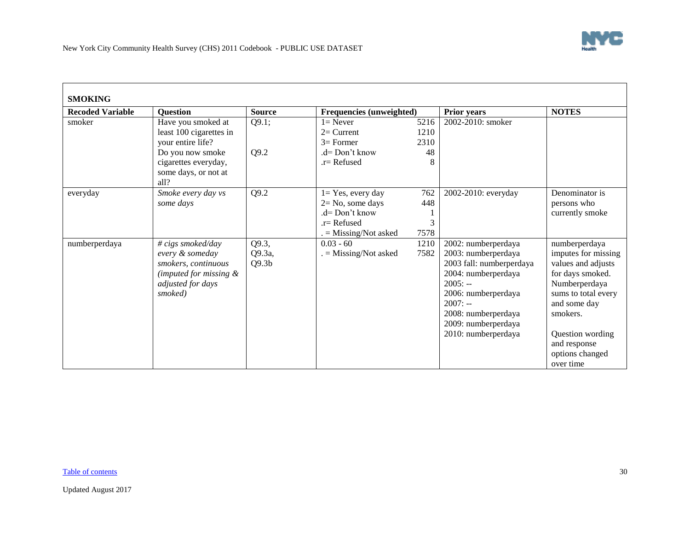<span id="page-29-0"></span>

| <b>SMOKING</b>          |                                                                                                                          |                                      |                                                                                                             |                         |                                                                                                                                                                                                                     |                                                                                                                                                                                                                        |
|-------------------------|--------------------------------------------------------------------------------------------------------------------------|--------------------------------------|-------------------------------------------------------------------------------------------------------------|-------------------------|---------------------------------------------------------------------------------------------------------------------------------------------------------------------------------------------------------------------|------------------------------------------------------------------------------------------------------------------------------------------------------------------------------------------------------------------------|
| <b>Recoded Variable</b> | <b>Question</b>                                                                                                          | <b>Source</b>                        | <b>Frequencies (unweighted)</b>                                                                             |                         | <b>Prior years</b>                                                                                                                                                                                                  | <b>NOTES</b>                                                                                                                                                                                                           |
| smoker                  | Have you smoked at<br>least 100 cigarettes in<br>your entire life?                                                       | Q9.1;                                | $l =$ Never<br>$2=$ Current<br>$3=$ Former                                                                  | 5216<br>1210<br>2310    | 2002-2010: smoker                                                                                                                                                                                                   |                                                                                                                                                                                                                        |
|                         | Do you now smoke<br>cigarettes everyday,<br>some days, or not at<br>all?                                                 | Q9.2                                 | .d= Don't know<br>$r =$ Refused                                                                             | 48<br>8                 |                                                                                                                                                                                                                     |                                                                                                                                                                                                                        |
| everyday                | Smoke every day vs<br>some days                                                                                          | Q9.2                                 | $1 = Yes$ , every day<br>$2 = No$ , some days<br>$d = Don't know$<br>$r =$ Refused<br>$=$ Missing/Not asked | 762<br>448<br>3<br>7578 | 2002-2010: everyday                                                                                                                                                                                                 | Denominator is<br>persons who<br>currently smoke                                                                                                                                                                       |
| numberperdaya           | # cigs smoked/day<br>every & someday<br>smokers, continuous<br>(imputed for missing $\&$<br>adjusted for days<br>smoked) | Q9.3,<br>Q9.3a,<br>Q9.3 <sub>b</sub> | $0.03 - 60$<br>$=$ Missing/Not asked                                                                        | 1210<br>7582            | 2002: numberperdaya<br>2003: numberperdaya<br>2003 fall: numberperdaya<br>2004: numberperdaya<br>$2005: -$<br>2006: numberperdaya<br>$2007: -$<br>2008: numberperdaya<br>2009: numberperdaya<br>2010: numberperdaya | numberperdaya<br>imputes for missing<br>values and adjusts<br>for days smoked.<br>Numberperdaya<br>sums to total every<br>and some day<br>smokers.<br>Question wording<br>and response<br>options changed<br>over time |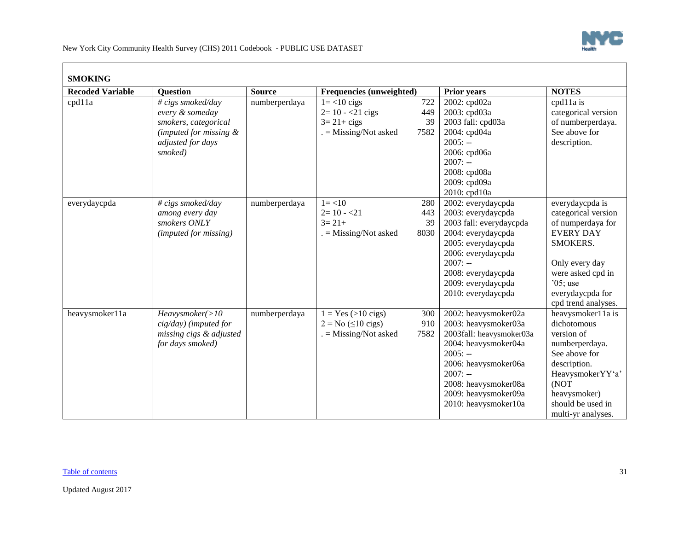

| <b>SMOKING</b>          |                                                                                                                        |               |                                                                                                    |                  |                                                                                                                                                                                                                            |                                                                                                                                                                                             |
|-------------------------|------------------------------------------------------------------------------------------------------------------------|---------------|----------------------------------------------------------------------------------------------------|------------------|----------------------------------------------------------------------------------------------------------------------------------------------------------------------------------------------------------------------------|---------------------------------------------------------------------------------------------------------------------------------------------------------------------------------------------|
| <b>Recoded Variable</b> | <b>Question</b>                                                                                                        | <b>Source</b> | Frequencies (unweighted)                                                                           |                  | <b>Prior years</b>                                                                                                                                                                                                         | <b>NOTES</b>                                                                                                                                                                                |
| cpd11a                  | # cigs smoked/day<br>every & someday<br>smokers, categorical<br>(imputed for missing &<br>adjusted for days<br>smoked) | numberperdaya | $1 = < 10$ cigs<br>$2=10 - 21$ cigs<br>$3 = 21 + cigs$<br>$=$ Missing/Not asked<br>7582            | 722<br>449<br>39 | 2002: cpd02a<br>2003: cpd03a<br>2003 fall: cpd03a<br>2004: cpd04a<br>$2005: -$<br>2006: cpd06a<br>$2007: -$<br>2008: cpd08a<br>2009: cpd09a<br>2010: cpd10a                                                                | cpd11a is<br>categorical version<br>of numberperdaya.<br>See above for<br>description.                                                                                                      |
| everydaycpda            | # cigs smoked/day<br>among every day<br>smokers ONLY<br>(imputed for missing)                                          | numberperdaya | $1 = < 10$<br>$2=10 - 21$<br>$3 = 21 +$<br>$=$ Missing/Not asked<br>8030                           | 280<br>443<br>39 | 2002: everydaycpda<br>2003: everydaycpda<br>2003 fall: everydaycpda<br>2004: everydaycpda<br>2005: everydaycpda<br>2006: everydaycpda<br>$2007: -$<br>2008: everydaycpda<br>2009: everydaycpda<br>2010: everydaycpda       | everydaycpda is<br>categorical version<br>of numperdaya for<br><b>EVERY DAY</b><br>SMOKERS.<br>Only every day<br>were asked cpd in<br>$05$ ; use<br>everydaycpda for<br>cpd trend analyses. |
| heavysmoker11a          | Heavysmoker(>10<br>cig/day) (imputed for<br>missing cigs & adjusted<br>for days smoked)                                | numberperdaya | $1 = Yes (>10 \text{ cigs})$<br>$2 = No \ (\leq 10 \text{ cigs})$<br>$=$ Missing/Not asked<br>7582 | 300<br>910       | 2002: heavysmoker02a<br>2003: heavysmoker03a<br>2003fall: heavysmoker03a<br>2004: heavysmoker04a<br>$2005: -$<br>2006: heavysmoker06a<br>$2007: -$<br>2008: heavysmoker08a<br>2009: heavysmoker09a<br>2010: heavysmoker10a | heavysmoker11a is<br>dichotomous<br>version of<br>numberperdaya.<br>See above for<br>description.<br>HeavysmokerYY'a'<br>(NOT<br>heavysmoker)<br>should be used in<br>multi-yr analyses.    |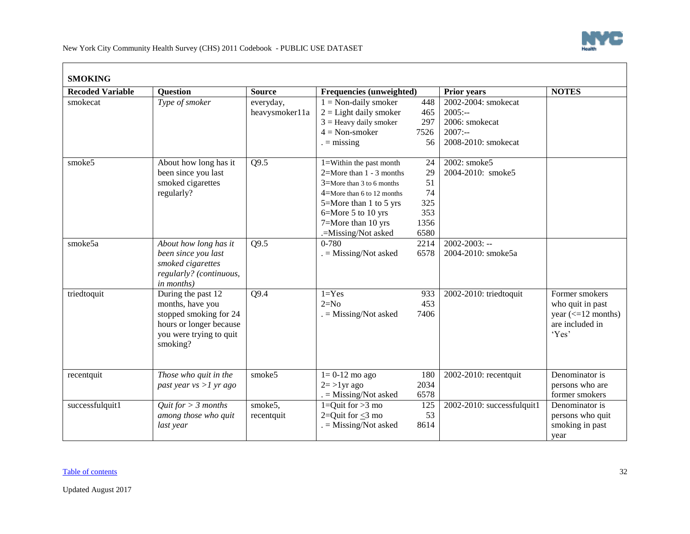

| <b>Recoded Variable</b> | <b>Ouestion</b>                                                                                                                    | <b>Source</b>               | <b>Frequencies (unweighted)</b>                                                                                                                                                                                            |                                                    | <b>Prior years</b>                                                                     | <b>NOTES</b>                                                                                                 |
|-------------------------|------------------------------------------------------------------------------------------------------------------------------------|-----------------------------|----------------------------------------------------------------------------------------------------------------------------------------------------------------------------------------------------------------------------|----------------------------------------------------|----------------------------------------------------------------------------------------|--------------------------------------------------------------------------------------------------------------|
| smokecat                | Type of smoker                                                                                                                     | everyday,<br>heavysmoker11a | $1 = Non-daily smoker$<br>$2 =$ Light daily smoker<br>$3 =$ Heavy daily smoker<br>$4 = Non-smoker$<br>$=$ missing                                                                                                          | 448<br>465<br>297<br>7526<br>56                    | 2002-2004: smokecat<br>$2005: -$<br>2006: smokecat<br>$2007: -$<br>2008-2010: smokecat |                                                                                                              |
| smoke5                  | About how long has it<br>been since you last<br>smoked cigarettes<br>regularly?                                                    | Q9.5                        | $1 =$ Within the past month<br>$2=$ More than $1 - 3$ months<br>$3$ =More than 3 to 6 months<br>$4$ =More than 6 to 12 months<br>5=More than 1 to 5 yrs<br>6=More 5 to 10 yrs<br>7=More than 10 yrs<br>.=Missing/Not asked | 24<br>29<br>51<br>74<br>325<br>353<br>1356<br>6580 | 2002: smoke5<br>2004-2010: smoke5                                                      |                                                                                                              |
| smoke5a                 | About how long has it<br>been since you last<br>smoked cigarettes<br>regularly? (continuous,<br>in months)                         | Q9.5                        | $0 - 780$<br>$=$ Missing/Not asked                                                                                                                                                                                         | 2214<br>6578                                       | $2002 - 2003$ : --<br>2004-2010: smoke5a                                               |                                                                                                              |
| triedtoquit             | During the past 12<br>months, have you<br>stopped smoking for 24<br>hours or longer because<br>you were trying to quit<br>smoking? | Q9.4                        | $1 = Yes$<br>$2=N0$<br>$=$ Missing/Not asked                                                                                                                                                                               | 933<br>453<br>7406                                 | 2002-2010: triedtoquit                                                                 | Former smokers<br>who quit in past<br>year $\left(\leq 12 \text{ months}\right)$<br>are included in<br>'Yes' |
| recentquit              | Those who quit in the<br>past year $vs > 1$ yr ago                                                                                 | smoke5                      | $1=0-12$ mo ago<br>$2 = >1$ yr ago<br>$=$ Missing/Not asked                                                                                                                                                                | 180<br>2034<br>6578                                | 2002-2010: recentquit                                                                  | Denominator is<br>persons who are<br>former smokers                                                          |
| successfulquit1         | Quit for $> 3$ months<br>among those who quit<br>last year                                                                         | smoke5,<br>recentquit       | $1=Quit for >3 mo$<br>2=Quit for $<$ 3 mo<br>$=$ Missing/Not asked                                                                                                                                                         | 125<br>53<br>8614                                  | $2002 - 2010$ : successfulguit1                                                        | Denominator is<br>persons who quit<br>smoking in past<br>year                                                |

 $\blacksquare$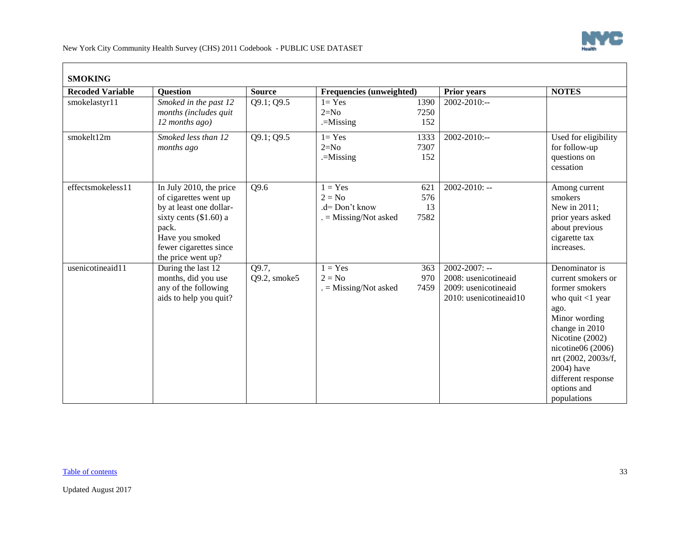

| <b>SMOKING</b>          |                                                                                                                                                                                     |                       |                                                                  |                          |                                                                                              |                                                                                                                                                                                                                                                             |
|-------------------------|-------------------------------------------------------------------------------------------------------------------------------------------------------------------------------------|-----------------------|------------------------------------------------------------------|--------------------------|----------------------------------------------------------------------------------------------|-------------------------------------------------------------------------------------------------------------------------------------------------------------------------------------------------------------------------------------------------------------|
| <b>Recoded Variable</b> | <b>Question</b>                                                                                                                                                                     | <b>Source</b>         | Frequencies (unweighted)                                         |                          | <b>Prior years</b>                                                                           | <b>NOTES</b>                                                                                                                                                                                                                                                |
| smokelastyr11           | Smoked in the past 12<br>months (includes quit<br>12 months ago)                                                                                                                    | Q9.1; Q9.5            | $l = Yes$<br>$2=N0$<br>$=$ Missing                               | 1390<br>7250<br>152      | 2002-2010:--                                                                                 |                                                                                                                                                                                                                                                             |
| smokelt12m              | Smoked less than 12<br>months ago                                                                                                                                                   | Q9.1; Q9.5            | $l = Yes$<br>$2=N0$<br>$=$ Missing                               | 1333<br>7307<br>152      | $2002 - 2010$ :--                                                                            | Used for eligibility<br>for follow-up<br>questions on<br>cessation                                                                                                                                                                                          |
| effectsmokeless11       | In July 2010, the price<br>of cigarettes went up<br>by at least one dollar-<br>sixty cents $(\$1.60)$ a<br>pack.<br>Have you smoked<br>fewer cigarettes since<br>the price went up? | Q9.6                  | $1 = Yes$<br>$2 = No$<br>.d= Don't know<br>$=$ Missing/Not asked | 621<br>576<br>13<br>7582 | 2002-2010: --                                                                                | Among current<br>smokers<br>New in 2011;<br>prior years asked<br>about previous<br>cigarette tax<br>increases.                                                                                                                                              |
| usenicotineaid11        | During the last 12<br>months, did you use<br>any of the following<br>aids to help you quit?                                                                                         | Q9.7,<br>Q9.2, smoke5 | $1 = Yes$<br>$2 = No$<br>$=$ Missing/Not asked                   | 363<br>970<br>7459       | $2002 - 2007$ : --<br>2008: usenicotineaid<br>2009: usenicotineaid<br>2010: usenicotineaid10 | Denominator is<br>current smokers or<br>former smokers<br>who quit $<$ 1 year<br>ago.<br>Minor wording<br>change in 2010<br>Nicotine (2002)<br>nicotine $06(2006)$<br>nrt (2002, 2003s/f,<br>2004) have<br>different response<br>options and<br>populations |

 $\blacksquare$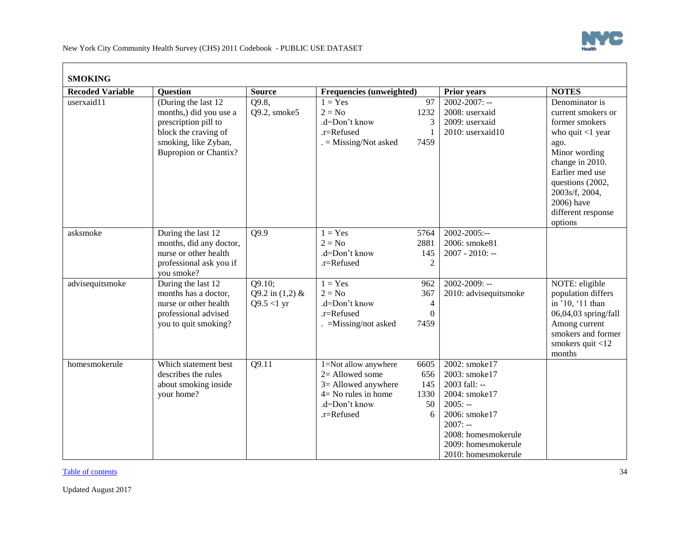

| <b>Recoded Variable</b>         | <b>Question</b>                                                                                                                                        | <b>Source</b>                                | Frequencies (unweighted)                                                                                                |                                                  | <b>Prior years</b>                                                                                                                                                               | <b>NOTES</b>                                                                                                                                                                                                           |
|---------------------------------|--------------------------------------------------------------------------------------------------------------------------------------------------------|----------------------------------------------|-------------------------------------------------------------------------------------------------------------------------|--------------------------------------------------|----------------------------------------------------------------------------------------------------------------------------------------------------------------------------------|------------------------------------------------------------------------------------------------------------------------------------------------------------------------------------------------------------------------|
| $\overline{\text{userx}}$ aid11 | (During the last 12)<br>months,) did you use a<br>prescription pill to<br>block the craving of<br>smoking, like Zyban,<br><b>Bupropion or Chantix?</b> | Q9.8,<br>Q9.2, smoke5                        | $1 = Yes$<br>$2 = No$<br>.d=Don't know<br>.r=Refused<br>$=$ Missing/Not asked                                           | 97<br>1232<br>3<br>7459                          | $2002 - 2007$ : --<br>2008: userxaid<br>2009: userxaid<br>2010: userxaid10                                                                                                       | Denominator is<br>current smokers or<br>former smokers<br>who quit $<$ 1 year<br>ago.<br>Minor wording<br>change in 2010.<br>Earlier med use<br>questions (2002,<br>2003s/f, 2004,<br>2006) have<br>different response |
|                                 |                                                                                                                                                        |                                              |                                                                                                                         |                                                  |                                                                                                                                                                                  | options                                                                                                                                                                                                                |
| asksmoke                        | During the last 12<br>months, did any doctor,<br>nurse or other health<br>professional ask you if<br>you smoke?                                        | Q9.9                                         | $1 = Yes$<br>$2 = No$<br>.d=Don't know<br>.r=Refused                                                                    | 5764<br>2881<br>145<br>$\overline{2}$            | 2002-2005:--<br>2006: smoke81<br>2007 - 2010: --                                                                                                                                 |                                                                                                                                                                                                                        |
| advisequitsmoke                 | During the last 12<br>months has a doctor,<br>nurse or other health<br>professional advised<br>you to quit smoking?                                    | Q9.10;<br>Q9.2 in $(1,2)$ &<br>$Q9.5 < 1$ yr | $1 = Yes$<br>$2 = No$<br>.d=Don't know<br>.r=Refused<br>$=$ Missing/not asked                                           | 962<br>367<br>$\overline{4}$<br>$\Omega$<br>7459 | 2002-2009: --<br>2010: advisequitsmoke                                                                                                                                           | NOTE: eligible<br>population differs<br>in '10, '11 than<br>06,04,03 spring/fall<br>Among current<br>smokers and former<br>smokers quit <12<br>months                                                                  |
| homesmokerule                   | Which statement best<br>describes the rules<br>about smoking inside<br>your home?                                                                      | Q9.11                                        | 1=Not allow anywhere<br>2= Allowed some<br>3= Allowed anywhere<br>$4 = No$ rules in home<br>.d=Don't know<br>.r=Refused | 6605<br>656<br>145<br>1330<br>50<br>6            | 2002: smoke17<br>2003: smoke17<br>2003 fall: --<br>2004: smoke17<br>$2005: -$<br>2006: smoke17<br>$2007: -$<br>2008: homesmokerule<br>2009: homesmokerule<br>2010: homesmokerule |                                                                                                                                                                                                                        |

[Table of contents](#page-0-1) 34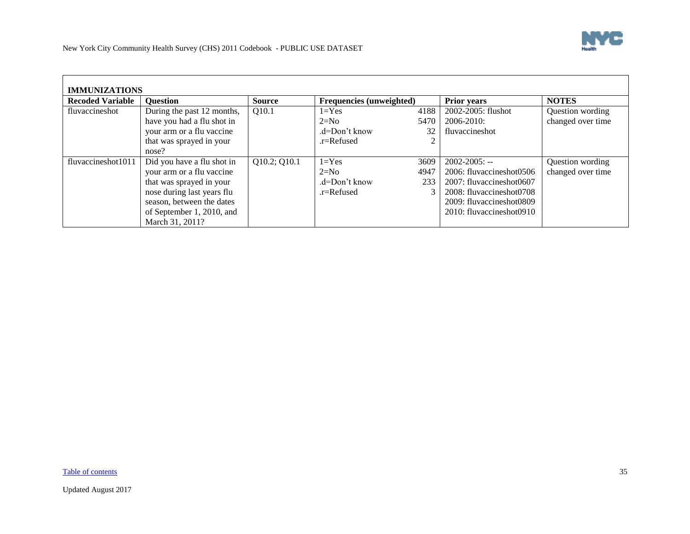

<span id="page-34-0"></span>

| <b>IMMUNIZATIONS</b>    |                            |               |                                 |      |                           |                   |  |  |  |
|-------------------------|----------------------------|---------------|---------------------------------|------|---------------------------|-------------------|--|--|--|
| <b>Recoded Variable</b> | <b>Ouestion</b>            | <b>Source</b> | <b>Frequencies (unweighted)</b> |      | <b>Prior years</b>        | <b>NOTES</b>      |  |  |  |
| fluvaccineshot          | During the past 12 months, | Q10.1         | $1 = Yes$                       | 4188 | 2002-2005: flushot        | Question wording  |  |  |  |
|                         | have you had a flu shot in |               | $2=N0$                          | 5470 | $2006 - 2010$ :           | changed over time |  |  |  |
|                         | your arm or a flu vaccine  |               | $d=Don't know$                  | 32   | fluvaccineshot            |                   |  |  |  |
|                         | that was sprayed in your   |               | .r=Refused                      |      |                           |                   |  |  |  |
|                         | nose?                      |               |                                 |      |                           |                   |  |  |  |
| fluvaccineshot1011      | Did you have a flu shot in | Q10.2; Q10.1  | $1 = Yes$                       | 3609 | $2002 - 2005$ : --        | Question wording  |  |  |  |
|                         | your arm or a flu vaccine  |               | $2=N0$                          | 4947 | 2006: fluvaccineshot 0506 | changed over time |  |  |  |
|                         | that was sprayed in your   |               | $d=Don't know$                  | 233  | 2007: fluvaccineshot0607  |                   |  |  |  |
|                         | nose during last years flu |               | $r =$ Refused                   |      | 2008: fluvaccineshot0708  |                   |  |  |  |
|                         | season, between the dates  |               |                                 |      | 2009: fluvaccineshot0809  |                   |  |  |  |
|                         | of September 1, 2010, and  |               |                                 |      | 2010: fluvaccineshot0910  |                   |  |  |  |
|                         | March 31, 2011?            |               |                                 |      |                           |                   |  |  |  |

[Table of contents](#page-0-1) 35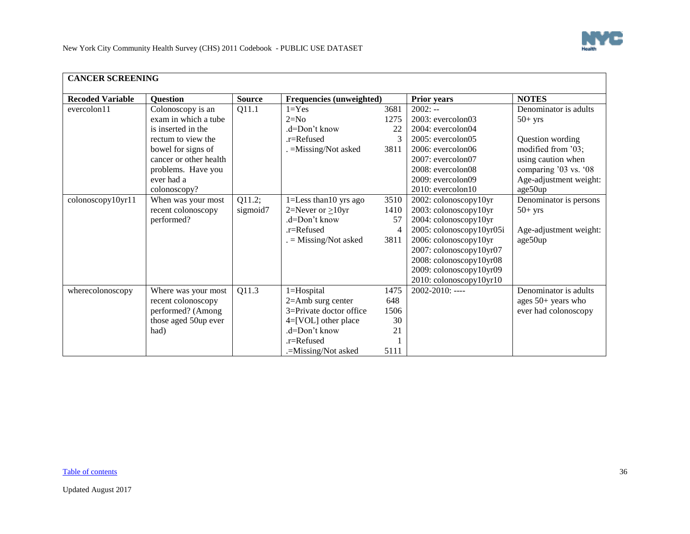

 $\overline{\phantom{0}}$ 

<span id="page-35-0"></span>

| <b>CANCER SCREENING</b> |                        |               |                                 |               |                          |                        |  |  |
|-------------------------|------------------------|---------------|---------------------------------|---------------|--------------------------|------------------------|--|--|
| <b>Recoded Variable</b> | <b>Question</b>        | <b>Source</b> | <b>Frequencies (unweighted)</b> |               | <b>Prior years</b>       | <b>NOTES</b>           |  |  |
| evercolon11             | Colonoscopy is an      | Q11.1         | $1 = Yes$                       | 3681          | $2002: -$                | Denominator is adults  |  |  |
|                         | exam in which a tube   |               | $2=N0$                          | 1275          | $2003$ : evercolon $03$  | $50+$ yrs              |  |  |
|                         | is inserted in the     |               | .d=Don't know                   | 22            | $2004$ : evercolon $04$  |                        |  |  |
|                         | rectum to view the     |               | .r=Refused                      | $\mathcal{R}$ | $2005$ : evercolon $05$  | Question wording       |  |  |
|                         | bowel for signs of     |               | . = Missing/Not asked           | 3811          | $2006$ : evercolon $06$  | modified from '03;     |  |  |
|                         | cancer or other health |               |                                 |               | $2007$ : evercolon $07$  | using caution when     |  |  |
|                         | problems. Have you     |               |                                 |               | $2008$ : evercolon $08$  | comparing '03 vs. '08  |  |  |
|                         | ever had a             |               |                                 |               | 2009: evercolon09        | Age-adjustment weight: |  |  |
|                         | colonoscopy?           |               |                                 |               | $2010$ : evercolon $10$  | age50up                |  |  |
| colonoscopy10yr11       | When was your most     | Q11.2;        | 1=Less than 10 yrs ago          | 3510          | 2002: colonoscopy10yr    | Denominator is persons |  |  |
|                         | recent colonoscopy     | sigmoid7      | 2=Never or $\geq$ 10yr          | 1410          | 2003: colonoscopy10yr    | $50+$ yrs              |  |  |
|                         | performed?             |               | .d=Don't know                   | 57            | 2004: colonoscopy10yr    |                        |  |  |
|                         |                        |               | .r=Refused                      | 4             | 2005: colonoscopy10yr05i | Age-adjustment weight: |  |  |
|                         |                        |               | $=$ Missing/Not asked           | 3811          | 2006: colonoscopy10yr    | age50up                |  |  |
|                         |                        |               |                                 |               | 2007: colonoscopy10yr07  |                        |  |  |
|                         |                        |               |                                 |               | 2008: colonoscopy10yr08  |                        |  |  |
|                         |                        |               |                                 |               | 2009: colonoscopy10yr09  |                        |  |  |
|                         |                        |               |                                 |               | 2010: colonoscopy10yr10  |                        |  |  |
| wherecolonoscopy        | Where was your most    | Q11.3         | 1=Hospital                      | 1475          | 2002-2010: ----          | Denominator is adults  |  |  |
|                         | recent colonoscopy     |               | $2 =$ Amb surg center           | 648           |                          | ages $50+$ years who   |  |  |
|                         | performed? (Among      |               | 3=Private doctor office         | 1506          |                          | ever had colonoscopy   |  |  |
|                         | those aged 50up ever   |               | $4=[VOL]$ other place           | 30            |                          |                        |  |  |
|                         | had)                   |               | .d=Don't know                   | 21            |                          |                        |  |  |
|                         |                        |               | .r=Refused                      |               |                          |                        |  |  |
|                         |                        |               | .=Missing/Not asked             | 5111          |                          |                        |  |  |

[Table of contents](#page-0-1) 36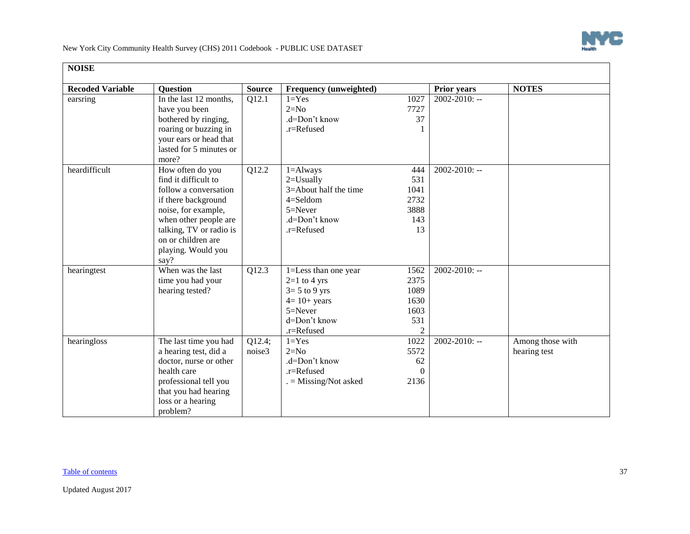

<span id="page-36-0"></span>

| <b>NOISE</b>            |                         |               |                               |                |                    |                  |
|-------------------------|-------------------------|---------------|-------------------------------|----------------|--------------------|------------------|
| <b>Recoded Variable</b> | <b>Question</b>         | <b>Source</b> | <b>Frequency (unweighted)</b> |                | <b>Prior years</b> | <b>NOTES</b>     |
| earsring                | In the last 12 months,  | Q12.1         | $1 = Yes$                     | 1027           | $2002 - 2010$ : -- |                  |
|                         | have you been           |               | $2=N0$                        | 7727           |                    |                  |
|                         | bothered by ringing,    |               | .d=Don't know                 | 37             |                    |                  |
|                         | roaring or buzzing in   |               | .r=Refused                    |                |                    |                  |
|                         | your ears or head that  |               |                               |                |                    |                  |
|                         | lasted for 5 minutes or |               |                               |                |                    |                  |
|                         | more?                   |               |                               |                |                    |                  |
| heardifficult           | How often do you        | Q12.2         | $1 =$ Always                  | 444            | $2002 - 2010$ : -- |                  |
|                         | find it difficult to    |               | $2 =$ Usually                 | 531            |                    |                  |
|                         | follow a conversation   |               | 3=About half the time         | 1041           |                    |                  |
|                         | if there background     |               | $4=$ Seldom                   | 2732           |                    |                  |
|                         | noise, for example,     |               | $5 =$ Never                   | 3888           |                    |                  |
|                         | when other people are   |               | .d=Don't know                 | 143            |                    |                  |
|                         | talking, TV or radio is |               | .r=Refused                    | 13             |                    |                  |
|                         | on or children are      |               |                               |                |                    |                  |
|                         | playing. Would you      |               |                               |                |                    |                  |
|                         | say?                    |               |                               |                |                    |                  |
| hearingtest             | When was the last       | Q12.3         | 1=Less than one year          | 1562           | $2002 - 2010$ : -- |                  |
|                         | time you had your       |               | $2=1$ to 4 yrs                | 2375           |                    |                  |
|                         | hearing tested?         |               | $3=5$ to 9 yrs                | 1089           |                    |                  |
|                         |                         |               | $4=10+$ years                 | 1630           |                    |                  |
|                         |                         |               | $5 =$ Never                   | 1603           |                    |                  |
|                         |                         |               | d=Don't know                  | 531            |                    |                  |
|                         |                         |               | .r=Refused                    | $\mathfrak{D}$ |                    |                  |
| hearingloss             | The last time you had   | Q12.4;        | $1 = Yes$                     | 1022           | $2002 - 2010$ : -- | Among those with |
|                         | a hearing test, did a   | noise3        | $2=N0$                        | 5572           |                    | hearing test     |
|                         | doctor, nurse or other  |               | .d=Don't know                 | 62             |                    |                  |
|                         | health care             |               | .r=Refused                    | $\Omega$       |                    |                  |
|                         | professional tell you   |               | $=$ Missing/Not asked         | 2136           |                    |                  |
|                         | that you had hearing    |               |                               |                |                    |                  |
|                         | loss or a hearing       |               |                               |                |                    |                  |
|                         | problem?                |               |                               |                |                    |                  |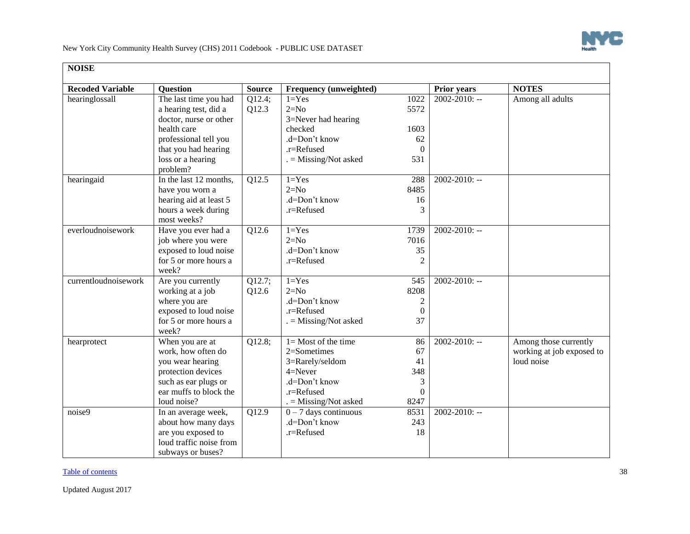

| <b>NOISE</b>            |                         |                    |                         |                  |                    |                           |
|-------------------------|-------------------------|--------------------|-------------------------|------------------|--------------------|---------------------------|
| <b>Recoded Variable</b> | <b>Question</b>         | <b>Source</b>      | Frequency (unweighted)  |                  | <b>Prior years</b> | <b>NOTES</b>              |
| hearinglossall          | The last time you had   | Q12.4;             | $1 = Yes$               | 1022             | $2002 - 2010$ : -- | Among all adults          |
|                         | a hearing test, did a   | Q12.3              | $2=N0$                  | 5572             |                    |                           |
|                         | doctor, nurse or other  |                    | 3=Never had hearing     |                  |                    |                           |
|                         | health care             |                    | checked                 | 1603             |                    |                           |
|                         | professional tell you   |                    | .d=Don't know           | 62               |                    |                           |
|                         | that you had hearing    |                    | .r=Refused              | $\Omega$         |                    |                           |
|                         | loss or a hearing       |                    | $=$ Missing/Not asked   | 531              |                    |                           |
|                         | problem?                |                    |                         |                  |                    |                           |
| hearingaid              | In the last 12 months,  | Q12.5              | $1 = Yes$               | 288              | $2002 - 2010$ : -- |                           |
|                         | have you worn a         |                    | $2=N0$                  | 8485             |                    |                           |
|                         | hearing aid at least 5  |                    | .d=Don't know           | 16               |                    |                           |
|                         | hours a week during     |                    | .r=Refused              | 3                |                    |                           |
|                         | most weeks?             |                    |                         |                  |                    |                           |
| everloudnoisework       | Have you ever had a     | $\overline{Q12.6}$ | $1 = Yes$               | 1739             | $2002 - 2010$ : -- |                           |
|                         | job where you were      |                    | $2=N0$                  | 7016             |                    |                           |
|                         | exposed to loud noise   |                    | .d=Don't know           | 35               |                    |                           |
|                         | for 5 or more hours a   |                    | .r=Refused              | $\overline{2}$   |                    |                           |
|                         | week?                   |                    |                         |                  |                    |                           |
| currentloudnoisework    | Are you currently       | Q12.7;             | $1 = Yes$               | 545              | $2002 - 2010$ : -- |                           |
|                         | working at a job        | Q12.6              | $2=N0$                  | 8208             |                    |                           |
|                         | where you are           |                    | .d=Don't know           | $\boldsymbol{2}$ |                    |                           |
|                         | exposed to loud noise   |                    | .r=Refused              | $\boldsymbol{0}$ |                    |                           |
|                         | for 5 or more hours a   |                    | $=$ Missing/Not asked   | 37               |                    |                           |
|                         | week?                   |                    |                         |                  |                    |                           |
| hearprotect             | When you are at         | Q12.8;             | $1 =$ Most of the time  | 86               | $2002 - 2010$ : -- | Among those currently     |
|                         | work, how often do      |                    | 2=Sometimes             | 67               |                    | working at job exposed to |
|                         | you wear hearing        |                    | 3=Rarely/seldom         | 41               |                    | loud noise                |
|                         | protection devices      |                    | $4 =$ Never             | 348              |                    |                           |
|                         | such as ear plugs or    |                    | .d=Don't know           | 3                |                    |                           |
|                         | ear muffs to block the  |                    | .r=Refused              | $\boldsymbol{0}$ |                    |                           |
|                         | loud noise?             |                    | $=$ Missing/Not asked   | 8247             |                    |                           |
| noise9                  | In an average week,     | $\overline{Q12.9}$ | $0 - 7$ days continuous | 8531             | $2002 - 2010$ : -- |                           |
|                         | about how many days     |                    | .d=Don't know           | 243              |                    |                           |
|                         | are you exposed to      |                    | .r=Refused              | 18               |                    |                           |
|                         | loud traffic noise from |                    |                         |                  |                    |                           |
|                         | subways or buses?       |                    |                         |                  |                    |                           |

[Table of contents](#page-0-1) 38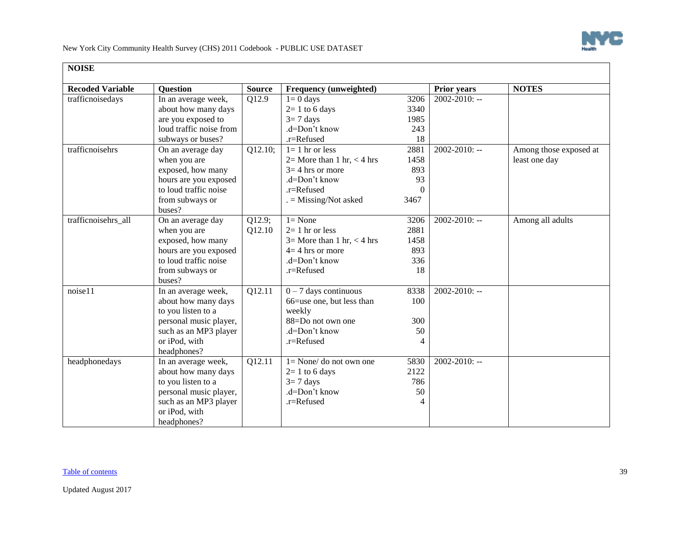

| <b>NOISE</b>            |                         |                      |                                   |          |                    |                        |
|-------------------------|-------------------------|----------------------|-----------------------------------|----------|--------------------|------------------------|
| <b>Recoded Variable</b> | <b>Question</b>         | <b>Source</b>        | Frequency (unweighted)            |          | <b>Prior years</b> | <b>NOTES</b>           |
| trafficnoisedays        | In an average week,     | Q12.9                | $1=0$ days                        | 3206     | $2002 - 2010$ : -- |                        |
|                         | about how many days     |                      | $2=1$ to 6 days                   | 3340     |                    |                        |
|                         | are you exposed to      |                      | $3=7$ days                        | 1985     |                    |                        |
|                         | loud traffic noise from |                      | .d=Don't know                     | 243      |                    |                        |
|                         | subways or buses?       |                      | .r=Refused                        | 18       |                    |                        |
| trafficnoisehrs         | On an average day       | $\overline{Q12}.10;$ | $1 = 1$ hr or less                | 2881     | $2002 - 2010$ : -- | Among those exposed at |
|                         | when you are            |                      | $2=$ More than 1 hr, $<$ 4 hrs    | 1458     |                    | least one day          |
|                         | exposed, how many       |                      | $3=4$ hrs or more                 | 893      |                    |                        |
|                         | hours are you exposed   |                      | .d=Don't know                     | 93       |                    |                        |
|                         | to loud traffic noise   |                      | .r=Refused                        | $\Omega$ |                    |                        |
|                         | from subways or         |                      | $=$ Missing/Not asked             | 3467     |                    |                        |
|                         | buses?                  |                      |                                   |          |                    |                        |
| trafficnoisehrs_all     | On an average day       | Q12.9;               | $l = None$                        | 3206     | $2002 - 2010$ : -- | Among all adults       |
|                         | when you are            | Q12.10               | $2=1$ hr or less                  | 2881     |                    |                        |
|                         | exposed, how many       |                      | $3=$ More than 1 hr, $<$ 4 hrs    | 1458     |                    |                        |
|                         | hours are you exposed   |                      | $4=4$ hrs or more                 | 893      |                    |                        |
|                         | to loud traffic noise   |                      | .d=Don't know                     | 336      |                    |                        |
|                         | from subways or         |                      | .r=Refused                        | 18       |                    |                        |
|                         | buses?                  |                      |                                   |          |                    |                        |
| noise11                 | In an average week,     | Q12.11               | $0 - 7$ days continuous           | 8338     | $2002 - 2010$ : -- |                        |
|                         | about how many days     |                      | 66=use one, but less than         | 100      |                    |                        |
|                         | to you listen to a      |                      | weekly                            |          |                    |                        |
|                         | personal music player,  |                      | 88=Do not own one                 | 300      |                    |                        |
|                         | such as an MP3 player   |                      | .d=Don't know                     | 50       |                    |                        |
|                         | or iPod, with           |                      | $r =$ Refused                     | 4        |                    |                        |
|                         | headphones?             |                      |                                   |          |                    |                        |
| headphonedays           | In an average week,     | $\overline{Q}$ 12.11 | $1 = \text{None}/$ do not own one | 5830     | $2002 - 2010$ : -- |                        |
|                         | about how many days     |                      | $2=1$ to 6 days                   | 2122     |                    |                        |
|                         | to you listen to a      |                      | $3=7$ days                        | 786      |                    |                        |
|                         | personal music player,  |                      | .d=Don't know                     | 50       |                    |                        |
|                         | such as an MP3 player   |                      | .r=Refused                        | 4        |                    |                        |
|                         | or iPod, with           |                      |                                   |          |                    |                        |
|                         | headphones?             |                      |                                   |          |                    |                        |

#### [Table of contents](#page-0-1) 39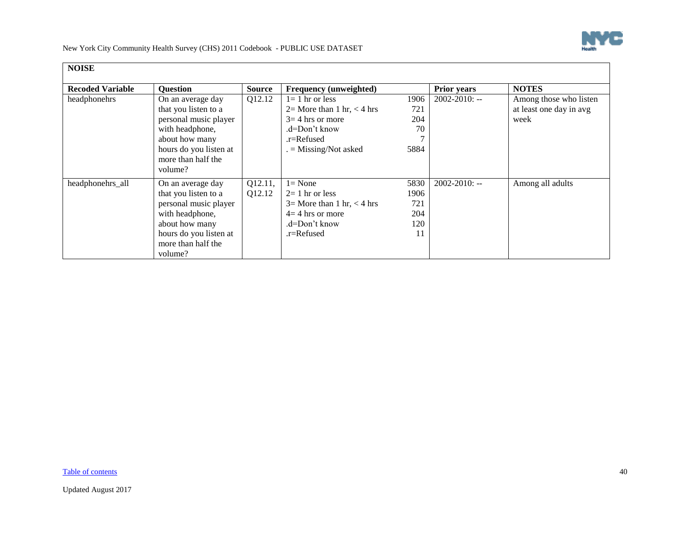

| <b>NOISE</b>            |                                                                                                                                                                    |                   |                                                                                                                                      |                                         |                    |                                                           |
|-------------------------|--------------------------------------------------------------------------------------------------------------------------------------------------------------------|-------------------|--------------------------------------------------------------------------------------------------------------------------------------|-----------------------------------------|--------------------|-----------------------------------------------------------|
| <b>Recoded Variable</b> | <b>Ouestion</b>                                                                                                                                                    | <b>Source</b>     | Frequency (unweighted)                                                                                                               |                                         | <b>Prior years</b> | <b>NOTES</b>                                              |
| headphonehrs            | On an average day<br>that you listen to a<br>personal music player<br>with headphone,<br>about how many<br>hours do you listen at<br>more than half the<br>volume? | Q12.12            | $l = 1$ hr or less<br>$2=$ More than 1 hr, $<$ 4 hrs<br>$3=4$ hrs or more<br>.d=Don't know<br>$r =$ Refused<br>$=$ Missing/Not asked | 1906<br>721<br>204<br>70<br>5884        | $2002 - 2010$ : -- | Among those who listen<br>at least one day in avg<br>week |
| headphonehrs_all        | On an average day<br>that you listen to a<br>personal music player<br>with headphone,<br>about how many<br>hours do you listen at<br>more than half the<br>volume? | Q12.11,<br>Q12.12 | $l = None$<br>$2=1$ hr or less<br>$3=$ More than 1 hr, $<$ 4 hrs<br>$4=4$ hrs or more<br>.d=Don't know<br>.r=Refused                 | 5830<br>1906<br>721<br>204<br>120<br>11 | $2002 - 2010$ : -- | Among all adults                                          |

[Table of contents](#page-0-1) 40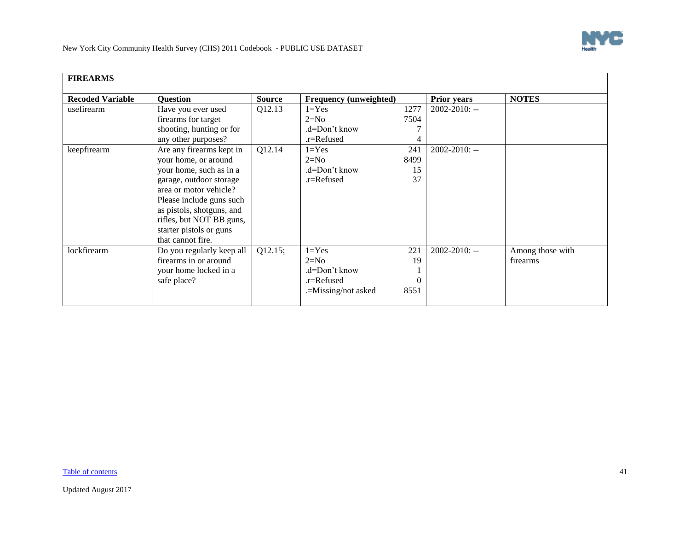<span id="page-40-0"></span>

| <b>FIREARMS</b>         |                                                                                                                                                                                                                                                                       |               |                                                                           |                         |                    |                              |
|-------------------------|-----------------------------------------------------------------------------------------------------------------------------------------------------------------------------------------------------------------------------------------------------------------------|---------------|---------------------------------------------------------------------------|-------------------------|--------------------|------------------------------|
| <b>Recoded Variable</b> | <b>Ouestion</b>                                                                                                                                                                                                                                                       | <b>Source</b> | Frequency (unweighted)                                                    |                         | <b>Prior years</b> | <b>NOTES</b>                 |
| usefirearm              | Have you ever used<br>firearms for target<br>shooting, hunting or for<br>any other purposes?                                                                                                                                                                          | Q12.13        | $1 = Yes$<br>$2=N0$<br>.d=Don't know<br>.r=Refused                        | 1277<br>7504            | $2002 - 2010$ : -- |                              |
| keepfirearm             | Are any firearms kept in<br>your home, or around<br>your home, such as in a<br>garage, outdoor storage<br>area or motor vehicle?<br>Please include guns such<br>as pistols, shotguns, and<br>rifles, but NOT BB guns,<br>starter pistols or guns<br>that cannot fire. | Q12.14        | $1 = Yes$<br>$2=N0$<br>.d=Don't know<br>.r=Refused                        | 241<br>8499<br>15<br>37 | $2002 - 2010$ : -- |                              |
| lockfirearm             | Do you regularly keep all<br>firearms in or around<br>your home locked in a<br>safe place?                                                                                                                                                                            | Q12.15;       | $1 = Yes$<br>$2=N0$<br>.d=Don't know<br>.r=Refused<br>.=Missing/not asked | 221<br>19<br>8551       | $2002 - 2010$ : -- | Among those with<br>firearms |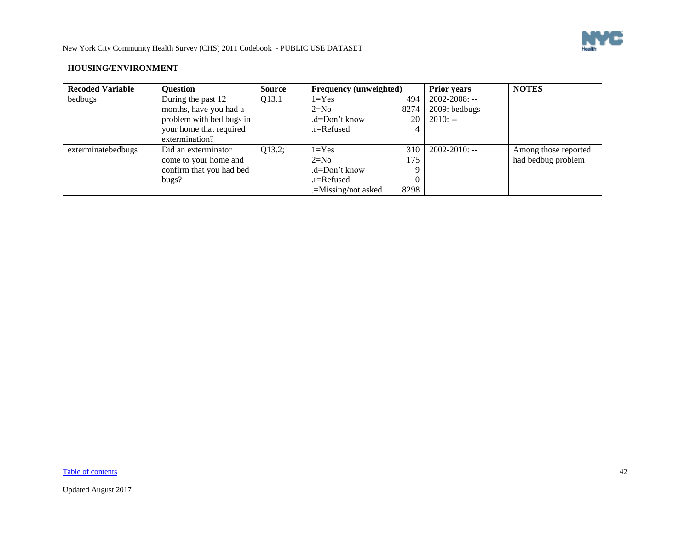

<span id="page-41-0"></span>

| HOUSING/ENVIRONMENT     |                                                                                                                       |               |                                                                           |                    |                                                  |                                            |  |  |
|-------------------------|-----------------------------------------------------------------------------------------------------------------------|---------------|---------------------------------------------------------------------------|--------------------|--------------------------------------------------|--------------------------------------------|--|--|
| <b>Recoded Variable</b> | <b>Question</b>                                                                                                       | <b>Source</b> | <b>Frequency (unweighted)</b>                                             |                    | <b>Prior years</b>                               | <b>NOTES</b>                               |  |  |
| bedbugs                 | During the past 12<br>months, have you had a<br>problem with bed bugs in<br>your home that required<br>extermination? | Q13.1         | $1 = Yes$<br>$2=N0$<br>$d=Don't know$<br>$r =$ Refused                    | 494<br>8274<br>20  | $2002 - 2008$ : --<br>2009: bedbugs<br>$2010: -$ |                                            |  |  |
| exterminatebedbugs      | Did an exterminator<br>come to your home and<br>confirm that you had bed<br>bugs?                                     | Q13.2;        | $1 = Yes$<br>$2=N0$<br>.d=Don't know<br>.r=Refused<br>.=Missing/not asked | 310<br>175<br>8298 | $2002 - 2010$ : --                               | Among those reported<br>had bedbug problem |  |  |

[Table of contents](#page-0-1) 42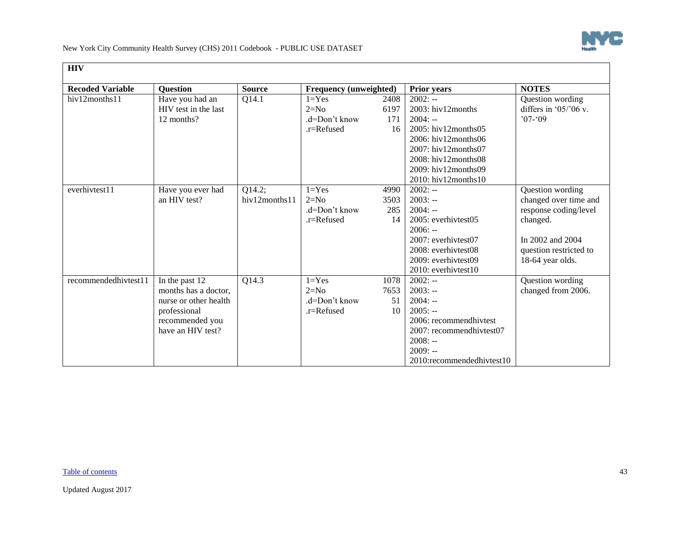

<span id="page-42-0"></span>

| <b>HIV</b>              |                       |                    |                        |      |                           |                        |
|-------------------------|-----------------------|--------------------|------------------------|------|---------------------------|------------------------|
| <b>Recoded Variable</b> | <b>Ouestion</b>       | <b>Source</b>      | Frequency (unweighted) |      | <b>Prior years</b>        | <b>NOTES</b>           |
| hiv12months11           | Have you had an       | Q14.1              | $1 = Yes$              | 2408 | $2002: -$                 | Question wording       |
|                         | HIV test in the last  |                    | $2=N0$                 | 6197 | $2003$ : hiv12months      | differs in $05/06$ v.  |
|                         | 12 months?            |                    | .d=Don't know          | 171  | $2004: -$                 | $07 - 09$              |
|                         |                       |                    | $r =$ Refused          | 16   | $2005$ : hiv12months05    |                        |
|                         |                       |                    |                        |      | 2006: hiv12months06       |                        |
|                         |                       |                    |                        |      | 2007: hiv12months07       |                        |
|                         |                       |                    |                        |      | 2008: hiv12months08       |                        |
|                         |                       |                    |                        |      | 2009: hiv12months09       |                        |
|                         |                       |                    |                        |      | 2010: hiv12months10       |                        |
| everhivtest11           | Have you ever had     | Q14.2;             | $1 = Yes$              | 4990 | $2002: -$                 | Question wording       |
|                         | an HIV test?          | hiv12months11      | $2=N0$                 | 3503 | $2003: -$                 | changed over time and  |
|                         |                       |                    | $d=Don't know$         | 285  | $2004: -$                 | response coding/level  |
|                         |                       |                    | .r=Refused             | 14   | 2005: everhivtest05       | changed.               |
|                         |                       |                    |                        |      | $2006: -$                 |                        |
|                         |                       |                    |                        |      | 2007: everhivtest07       | In 2002 and 2004       |
|                         |                       |                    |                        |      | 2008: everhivtest08       | question restricted to |
|                         |                       |                    |                        |      | 2009: everhivtest09       | 18-64 year olds.       |
|                         |                       |                    |                        |      | 2010: everhivtest10       |                        |
| recommendedhivtest11    | In the past 12        | $Q14.\overline{3}$ | $1 = Yes$              | 1078 | $2002: -$                 | Question wording       |
|                         | months has a doctor,  |                    | $2=N0$                 | 7653 | $2003: -$                 | changed from 2006.     |
|                         | nurse or other health |                    | $d=Don't know$         | 51   | $2004: -$                 |                        |
|                         | professional          |                    | $r =$ Refused          | 10   | $2005: -$                 |                        |
|                         | recommended you       |                    |                        |      | 2006: recommendhivtest    |                        |
|                         | have an HIV test?     |                    |                        |      | 2007: recommendhivtest07  |                        |
|                         |                       |                    |                        |      | $2008: -$                 |                        |
|                         |                       |                    |                        |      | $2009: -$                 |                        |
|                         |                       |                    |                        |      | 2010:recommendedhivtest10 |                        |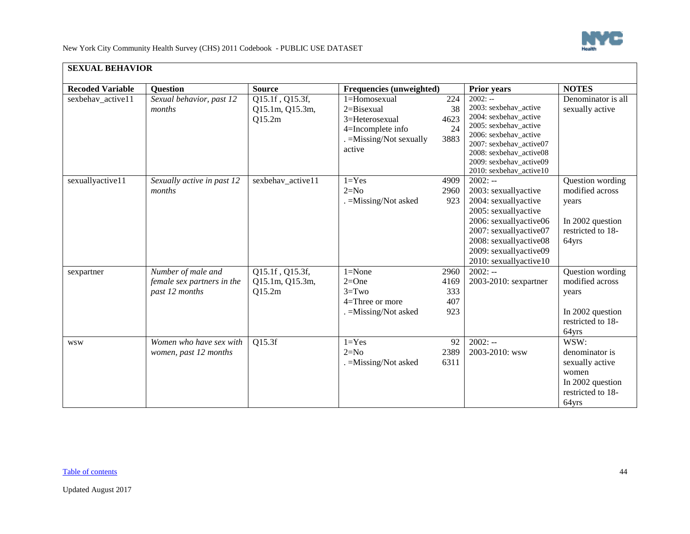

<span id="page-43-0"></span>

| <b>SEXUAL BEHAVIOR</b>  |                                                                    |                                              |                                                                                                             |                                   |                                                                                                                                                                                                                           |                                                                                                      |
|-------------------------|--------------------------------------------------------------------|----------------------------------------------|-------------------------------------------------------------------------------------------------------------|-----------------------------------|---------------------------------------------------------------------------------------------------------------------------------------------------------------------------------------------------------------------------|------------------------------------------------------------------------------------------------------|
| <b>Recoded Variable</b> | <b>Question</b>                                                    | <b>Source</b>                                | Frequencies (unweighted)                                                                                    |                                   | Prior years                                                                                                                                                                                                               | <b>NOTES</b>                                                                                         |
| sexbehav_active11       | Sexual behavior, past 12<br>months                                 | Q15.1f, Q15.3f,<br>Q15.1m, Q15.3m,<br>Q15.2m | 1=Homosexual<br>$2 = Bisexual$<br>3=Heterosexual<br>4=Incomplete info<br>. = Missing/Not sexually<br>active | 224<br>38<br>4623<br>24<br>3883   | $2002: -$<br>2003: sexbehav_active<br>2004: sexbehav_active<br>2005: sexbehav_active<br>2006: sexbehav_active<br>2007: sexbehav_active07<br>2008: sexbehav_active08<br>2009: sexbehav_active09<br>2010: sexbehav_active10 | Denominator is all<br>sexually active                                                                |
| sexuallyactive11        | Sexually active in past 12<br>months                               | sexbehav_active11                            | $1 = Yes$<br>$2=N0$<br>. = Missing/Not asked                                                                | 4909<br>2960<br>923               | $2002: -$<br>2003: sexuallyactive<br>2004: sexuallyactive<br>2005: sexuallyactive<br>2006: sexuallyactive06<br>2007: sexuallyactive07<br>2008: sexuallyactive08<br>2009: sexuallyactive09<br>2010: sexuallyactive10       | Question wording<br>modified across<br>years<br>In 2002 question<br>restricted to 18-<br>64yrs       |
| sexpartner              | Number of male and<br>female sex partners in the<br>past 12 months | Q15.1f, Q15.3f,<br>Q15.1m, Q15.3m,<br>Q15.2m | $1 = None$<br>$2=One$<br>$3 = Two$<br>$4=$ Three or more<br>. =Missing/Not asked                            | 2960<br>4169<br>333<br>407<br>923 | $2002: -$<br>2003-2010: sexpartner                                                                                                                                                                                        | Question wording<br>modified across<br>years<br>In 2002 question<br>restricted to 18-<br>64yrs       |
| <b>WSW</b>              | Women who have sex with<br>women, past 12 months                   | Q15.3f                                       | $1 = Yes$<br>$2=N0$<br>. = Missing/Not asked                                                                | 92<br>2389<br>6311                | $2002: -$<br>2003-2010: wsw                                                                                                                                                                                               | WSW:<br>denominator is<br>sexually active<br>women<br>In 2002 question<br>restricted to 18-<br>64yrs |

# [Table of contents](#page-0-1) 44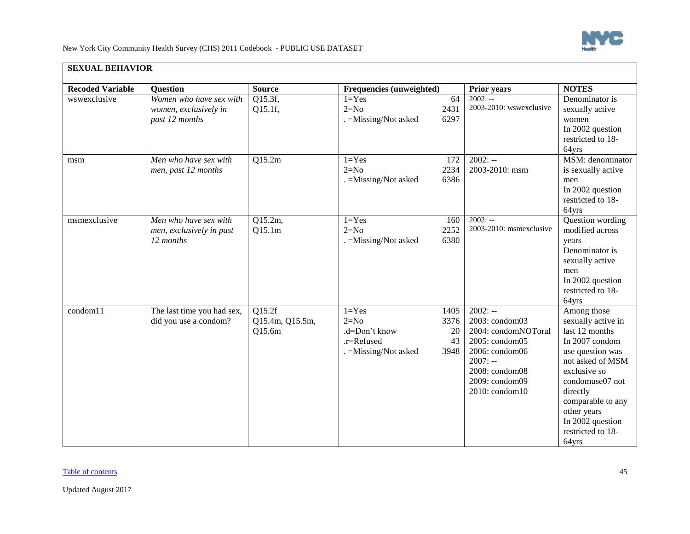

| <b>SEXUAL BEHAVIOR</b>  |                                                                    |                                     |                                                                             |                                  |                                                                                                                                                           |                                                                                                                                                                                                                                                    |
|-------------------------|--------------------------------------------------------------------|-------------------------------------|-----------------------------------------------------------------------------|----------------------------------|-----------------------------------------------------------------------------------------------------------------------------------------------------------|----------------------------------------------------------------------------------------------------------------------------------------------------------------------------------------------------------------------------------------------------|
| <b>Recoded Variable</b> | <b>Question</b>                                                    | <b>Source</b>                       | Frequencies (unweighted)                                                    |                                  | <b>Prior years</b>                                                                                                                                        | <b>NOTES</b>                                                                                                                                                                                                                                       |
| wswexclusive            | Women who have sex with<br>women, exclusively in<br>past 12 months | Q15.3f,<br>Q15.1f,                  | $1 = Yes$<br>$2=N0$<br>. = Missing/Not asked                                | 64<br>2431<br>6297               | $2002: -$<br>2003-2010: wswexclusive                                                                                                                      | Denominator is<br>sexually active<br>women<br>In 2002 question<br>restricted to 18-<br>64yrs                                                                                                                                                       |
| msm                     | Men who have sex with<br>men, past 12 months                       | Q15.2m                              | $1 = Yes$<br>$2=N0$<br>. = Missing/Not asked                                | 172<br>2234<br>6386              | $2002: -$<br>2003-2010: msm                                                                                                                               | MSM: denominator<br>is sexually active<br>men<br>In 2002 question<br>restricted to 18-<br>64yrs                                                                                                                                                    |
| msmexclusive            | Men who have sex with<br>men, exclusively in past<br>12 months     | Q15.2m,<br>Q15.1m                   | $1 = Yes$<br>$2=N0$<br>. = Missing/Not asked                                | 160<br>2252<br>6380              | $2002: -$<br>2003-2010: msmexclusive                                                                                                                      | Question wording<br>modified across<br>years<br>Denominator is<br>sexually active<br>men<br>In 2002 question<br>restricted to 18-<br>64yrs                                                                                                         |
| condom11                | The last time you had sex,<br>did you use a condom?                | Q15.2f<br>Q15.4m, Q15.5m,<br>Q15.6m | $1 = Yes$<br>$2=N0$<br>.d=Don't know<br>.r=Refused<br>. = Missing/Not asked | 1405<br>3376<br>20<br>43<br>3948 | $2002: -$<br>2003: condom03<br>2004: condomNOToral<br>2005: condom05<br>2006: condom06<br>$2007: -$<br>2008: condom08<br>2009: condom09<br>2010: condom10 | Among those<br>sexually active in<br>last 12 months<br>In 2007 condom<br>use question was<br>not asked of MSM<br>exclusive so<br>condomuse07 not<br>directly<br>comparable to any<br>other years<br>In 2002 question<br>restricted to 18-<br>64yrs |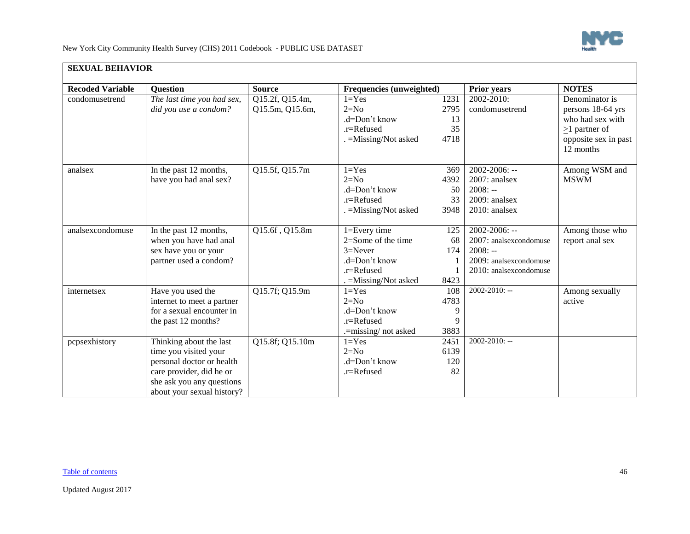| <b>Recoded Variable</b> | <b>Question</b>                                         | <b>Source</b>   | <b>Frequencies (unweighted)</b> |      | <b>Prior years</b>     | <b>NOTES</b>                      |
|-------------------------|---------------------------------------------------------|-----------------|---------------------------------|------|------------------------|-----------------------------------|
| condomusetrend          | The last time you had sex,                              | Q15.2f, Q15.4m, | $1 = Yes$                       | 1231 | 2002-2010:             | Denominator is                    |
|                         | did you use a condom?                                   | Q15.5m, Q15.6m, | $2=N0$                          | 2795 | condomusetrend         | persons 18-64 yrs                 |
|                         |                                                         |                 | $d=Don't know$                  | 13   |                        | who had sex with                  |
|                         |                                                         |                 | .r=Refused                      | 35   |                        | $\geq$ 1 partner of               |
|                         |                                                         |                 | =Missing/Not asked              | 4718 |                        | opposite sex in past<br>12 months |
| analsex                 | In the past 12 months,                                  | Q15.5f, Q15.7m  | $1 = Yes$                       | 369  | $2002 - 2006$ : --     | Among WSM and                     |
|                         | have you had anal sex?                                  |                 | $2=N0$                          | 4392 | 2007: analsex          | <b>MSWM</b>                       |
|                         |                                                         |                 | .d=Don't know                   | 50   | $2008: -$              |                                   |
|                         |                                                         |                 | $.r =$ Refused                  | 33   | 2009: analsex          |                                   |
|                         |                                                         |                 | . = Missing/Not asked           | 3948 | 2010: analsex          |                                   |
| analsexcondomuse        | In the past 12 months,                                  | Q15.6f, Q15.8m  | 1=Every time                    | 125  | 2002-2006: --          | Among those who                   |
|                         | when you have had anal                                  |                 | 2=Some of the time              | 68   | 2007: analsexcondomuse | report anal sex                   |
|                         | sex have you or your                                    |                 | $3 =$ Never                     | 174  | $2008: -$              |                                   |
|                         | partner used a condom?                                  |                 | .d=Don't know                   |      | 2009: analsexcondomuse |                                   |
|                         |                                                         |                 | .r=Refused                      |      | 2010: analsexcondomuse |                                   |
|                         |                                                         |                 | . = Missing/Not asked           | 8423 |                        |                                   |
| internetsex             | Have you used the                                       | Q15.7f; Q15.9m  | $1 = Yes$                       | 108  | $2002 - 2010$ : --     | Among sexually                    |
|                         | internet to meet a partner                              |                 | $2=N0$                          | 4783 |                        | active                            |
|                         | for a sexual encounter in                               |                 | .d=Don't know                   | 9    |                        |                                   |
|                         | the past 12 months?                                     |                 | .r=Refused                      | 9    |                        |                                   |
|                         |                                                         |                 | .=missing/not asked             | 3883 |                        |                                   |
| pcpsexhistory           | Thinking about the last                                 | Q15.8f; Q15.10m | $1 = Yes$                       | 2451 | 2002-2010: --          |                                   |
|                         | time you visited your                                   |                 | $2=N0$                          | 6139 |                        |                                   |
|                         | personal doctor or health                               |                 | .d=Don't know                   | 120  |                        |                                   |
|                         | care provider, did he or                                |                 | .r=Refused                      | 82   |                        |                                   |
|                         | she ask you any questions<br>about your sexual history? |                 |                                 |      |                        |                                   |

#### **SEXUAL BEHAVIOR**

#### [Table of contents](#page-0-1) 46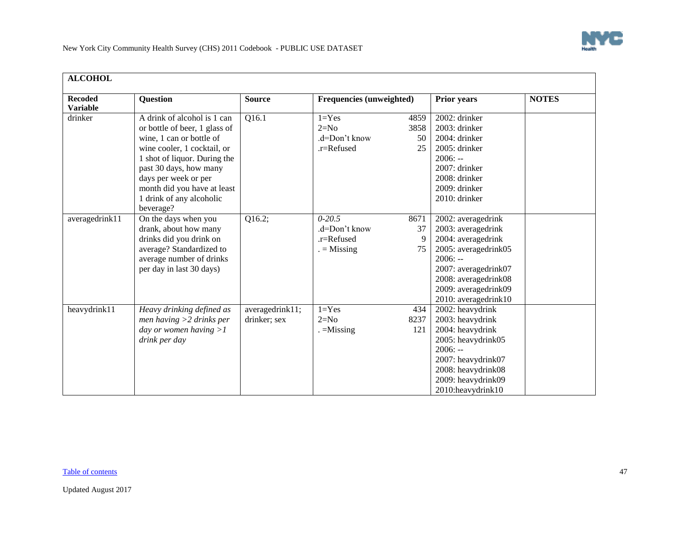

<span id="page-46-0"></span>

| <b>ALCOHOL</b>                    |                                                                                                                                                                                                                                                                                   |                                 |                                                                                    |                                                                                                                                                                                                     |              |
|-----------------------------------|-----------------------------------------------------------------------------------------------------------------------------------------------------------------------------------------------------------------------------------------------------------------------------------|---------------------------------|------------------------------------------------------------------------------------|-----------------------------------------------------------------------------------------------------------------------------------------------------------------------------------------------------|--------------|
| <b>Recoded</b><br><b>Variable</b> | <b>Question</b>                                                                                                                                                                                                                                                                   | <b>Source</b>                   | <b>Frequencies (unweighted)</b>                                                    | <b>Prior years</b>                                                                                                                                                                                  | <b>NOTES</b> |
| drinker                           | A drink of alcohol is 1 can<br>or bottle of beer, 1 glass of<br>wine, 1 can or bottle of<br>wine cooler, 1 cocktail, or<br>1 shot of liquor. During the<br>past 30 days, how many<br>days per week or per<br>month did you have at least<br>1 drink of any alcoholic<br>beverage? | Q16.1                           | $1 = Yes$<br>4859<br>$2=N0$<br>3858<br>$d=Don't know$<br>50<br>.r=Refused<br>25    | 2002: drinker<br>2003: drinker<br>$2004$ : drinker<br>2005: drinker<br>$2006: -$<br>2007: drinker<br>2008: drinker<br>2009: drinker<br>2010: drinker                                                |              |
| averagedrink11                    | On the days when you<br>drank, about how many<br>drinks did you drink on<br>average? Standardized to<br>average number of drinks<br>per day in last 30 days)                                                                                                                      | $\overline{Q16.2}$ ;            | $0 - 20.5$<br>8671<br>37<br>$d=Don't know$<br>.r=Refused<br>9<br>$=$ Missing<br>75 | 2002: averagedrink<br>2003: averagedrink<br>2004: averagedrink<br>2005: averagedrink05<br>$2006: -$<br>2007: averagedrink07<br>2008: averagedrink08<br>2009: averagedrink09<br>2010: averagedrink10 |              |
| heavydrink11                      | Heavy drinking defined as<br>men having $>2$ drinks per<br>day or women having $>1$<br>drink per day                                                                                                                                                                              | averagedrink11;<br>drinker; sex | $1 = Yes$<br>434<br>$2=N0$<br>8237<br>$. =$ Missing<br>121                         | 2002: heavydrink<br>2003: heavydrink<br>2004: heavydrink<br>2005: heavydrink05<br>$2006: -$<br>2007: heavydrink07<br>2008: heavydrink08<br>2009: heavydrink09<br>2010:heavydrink10                  |              |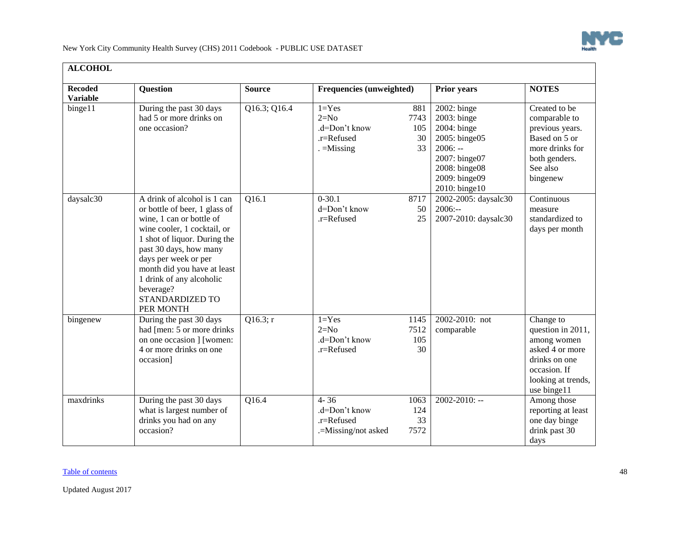

| <b>ALCOHOL</b>                    |                                                                                                                                                                                                                                                                                                                          |               |                                                                   |                                |                                                                                                                                                |                                                                                                                                        |
|-----------------------------------|--------------------------------------------------------------------------------------------------------------------------------------------------------------------------------------------------------------------------------------------------------------------------------------------------------------------------|---------------|-------------------------------------------------------------------|--------------------------------|------------------------------------------------------------------------------------------------------------------------------------------------|----------------------------------------------------------------------------------------------------------------------------------------|
| <b>Recoded</b><br><b>Variable</b> | <b>Question</b>                                                                                                                                                                                                                                                                                                          | <b>Source</b> | <b>Frequencies (unweighted)</b>                                   |                                | <b>Prior years</b>                                                                                                                             | <b>NOTES</b>                                                                                                                           |
| binge11                           | During the past 30 days<br>had 5 or more drinks on<br>one occasion?                                                                                                                                                                                                                                                      | Q16.3; Q16.4  | $1 = Yes$<br>$2=N0$<br>.d=Don't know<br>.r=Refused<br>$=$ Missing | 881<br>7743<br>105<br>30<br>33 | $2002$ : binge<br>2003: binge<br>2004: binge<br>2005: binge05<br>$2006: -$<br>2007: binge07<br>2008: binge08<br>2009: binge09<br>2010: binge10 | Created to be<br>comparable to<br>previous years.<br>Based on 5 or<br>more drinks for<br>both genders.<br>See also<br>bingenew         |
| daysalc30                         | A drink of alcohol is 1 can<br>or bottle of beer, 1 glass of<br>wine, 1 can or bottle of<br>wine cooler, 1 cocktail, or<br>1 shot of liquor. During the<br>past 30 days, how many<br>days per week or per<br>month did you have at least<br>1 drink of any alcoholic<br>beverage?<br><b>STANDARDIZED TO</b><br>PER MONTH | Q16.1         | $0 - 30.1$<br>d=Don't know<br>$r =$ Refused                       | 8717<br>50<br>25               | 2002-2005: daysalc30<br>$2006: -$<br>2007-2010: daysalc30                                                                                      | Continuous<br>measure<br>standardized to<br>days per month                                                                             |
| bingenew                          | During the past 30 days<br>had [men: 5 or more drinks]<br>on one occasion ] [women:<br>4 or more drinks on one<br>occasion]                                                                                                                                                                                              | Q16.3; r      | $1 = Yes$<br>$2=N0$<br>.d=Don't know<br>.r=Refused                | 1145<br>7512<br>105<br>30      | 2002-2010: not<br>comparable                                                                                                                   | Change to<br>question in 2011,<br>among women<br>asked 4 or more<br>drinks on one<br>occasion. If<br>looking at trends,<br>use binge11 |
| maxdrinks                         | During the past 30 days<br>what is largest number of<br>drinks you had on any<br>occasion?                                                                                                                                                                                                                               | Q16.4         | $4 - 36$<br>.d=Don't know<br>$r =$ Refused<br>.=Missing/not asked | 1063<br>124<br>33<br>7572      | $2002 - 2010$ : --                                                                                                                             | Among those<br>reporting at least<br>one day binge<br>drink past 30<br>days                                                            |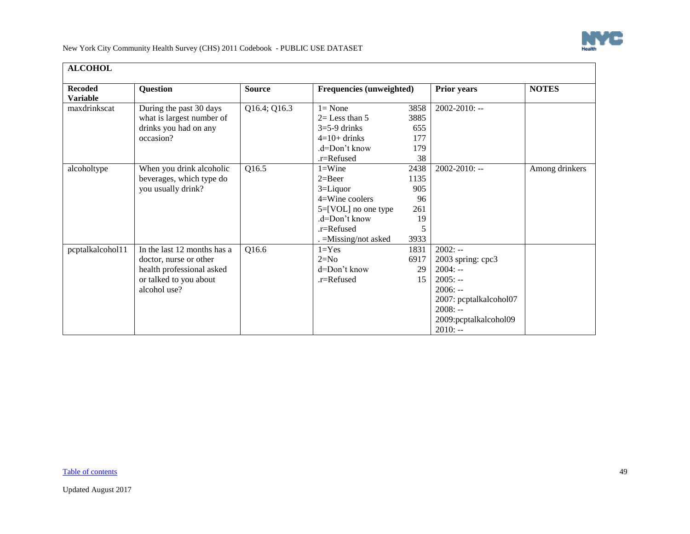

| <b>ALCOHOL</b>                    |                                                                                                                              |               |                                                                                                                                           |                                                     |                                                                                                                                                     |                |  |  |  |  |
|-----------------------------------|------------------------------------------------------------------------------------------------------------------------------|---------------|-------------------------------------------------------------------------------------------------------------------------------------------|-----------------------------------------------------|-----------------------------------------------------------------------------------------------------------------------------------------------------|----------------|--|--|--|--|
| <b>Recoded</b><br><b>Variable</b> | <b>Question</b>                                                                                                              | <b>Source</b> | <b>Frequencies (unweighted)</b>                                                                                                           |                                                     | <b>Prior years</b>                                                                                                                                  | <b>NOTES</b>   |  |  |  |  |
| maxdrinkscat                      | During the past 30 days<br>what is largest number of<br>drinks you had on any<br>occasion?                                   | Q16.4; Q16.3  | $l = None$<br>$2=$ Less than 5<br>$3=5-9$ drinks<br>$4=10+$ drinks<br>.d=Don't know<br>$r =$ Refused                                      | 3858<br>3885<br>655<br>177<br>179<br>38             | $2002 - 2010$ : --                                                                                                                                  |                |  |  |  |  |
| alcoholtype                       | When you drink alcoholic<br>beverages, which type do<br>you usually drink?                                                   | Q16.5         | $1 =$ Wine<br>$2 = Beer$<br>$3 =$ Liquor<br>4=Wine coolers<br>5=[VOL] no one type<br>.d=Don't know<br>.r=Refused<br>. = Missing/not asked | 2438<br>1135<br>905<br>96<br>261<br>19<br>5<br>3933 | $2002 - 2010$ : --                                                                                                                                  | Among drinkers |  |  |  |  |
| pcptalkalcohol11                  | In the last 12 months has a<br>doctor, nurse or other<br>health professional asked<br>or talked to you about<br>alcohol use? | Q16.6         | $1 = Yes$<br>$2=N0$<br>d=Don't know<br>.r=Refused                                                                                         | 1831<br>6917<br>29<br>15                            | $2002: -$<br>2003 spring: cpc3<br>$2004: -$<br>$2005: -$<br>$2006: -$<br>2007: pcptalkalcohol07<br>$2008: -$<br>2009: pcptalkalcohol09<br>$2010: -$ |                |  |  |  |  |